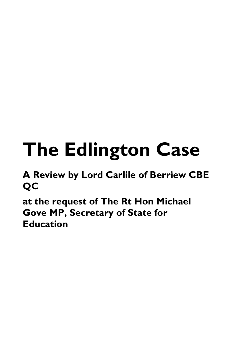# **The Edlington Case**

# **A Review by Lord Carlile of Berriew CBE QC**

**at the request of The Rt Hon Michael Gove MP, Secretary of State for Education**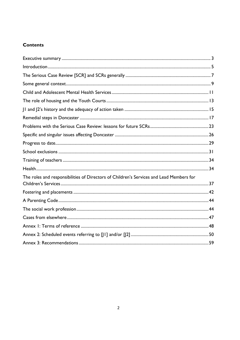### **Contents**

| The roles and responsibilities of Directors of Children's Services and Lead Members for |  |
|-----------------------------------------------------------------------------------------|--|
|                                                                                         |  |
|                                                                                         |  |
|                                                                                         |  |
|                                                                                         |  |
|                                                                                         |  |
|                                                                                         |  |
|                                                                                         |  |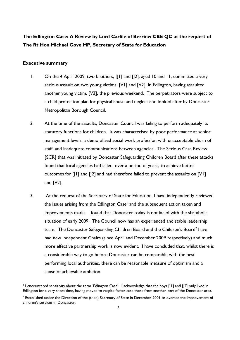# <span id="page-2-0"></span> **The Edlington Case: A Review by Lord Carlile of Berriew CBE QC at the request of The Rt Hon Michael Gove MP, Secretary of State for Education Executive summary**

- 1. On the 4 April 2009, two brothers, [J1] and [J2], aged 10 and 11, committed a very serious assault on two young victims, [V1] and [V2], in Edlington, having assaulted another young victim, [V3], the previous weekend. The perpetrators were subject to a child protection plan for physical abuse and neglect and looked after by Doncaster Metropolitan Borough Council.
- staff, and inadequate communications between agencies. The Serious Case Review 2. At the time of the assaults, Doncaster Council was failing to perform adequately its statutory functions for children. It was characterised by poor performance at senior management levels, a demoralised social work profession with unacceptable churn of [SCR] that was initiated by Doncaster Safeguarding Children Board after these attacks found that local agencies had failed, over a period of years, to achieve better outcomes for [J1] and [J2] and had therefore failed to prevent the assaults on [V1] and [V2].
- situation of early 2009. The Council now has an experienced and stable leadership team. The Doncaster Safeguarding Children Board and the Children's Board<sup>2</sup> have 3. At the request of the Secretary of State for Education, I have independently reviewed the issues arising from the Edlington Case<sup>1</sup> and the subsequent action taken and improvements made. I found that Doncaster today is not faced with the shambolic had new independent Chairs (since April and December 2009 respectively) and much more effective partnership work is now evident. I have concluded that, whilst there is a considerable way to go before Doncaster can be comparable with the best performing local authorities, there can be reasonable measure of optimism and a sense of achievable ambition.

 $\overline{a}$  Edlington for a very short time, having moved to respite foster care there from another part of the Doncaster area. <sup>1</sup> I encountered sensitivity about the term 'Edlington Case'. I acknowledge that the boys [J1] and [J2] only lived in

 children's services in Doncaster. <sup>2</sup> Established under the Direction of the (then) Secretary of State in December 2009 to oversee the improvement of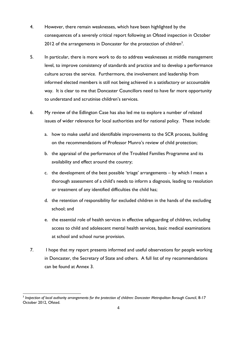- 4. However, there remain weaknesses, which have been highlighted by the consequences of a severely critical report following an Ofsted inspection in October 2012 of the arrangements in Doncaster for the protection of children<sup>3</sup>.
- culture across the service. Furthermore, the involvement and leadership from way. It is clear to me that Doncaster Councillors need to have far more opportunity 5. In particular, there is more work to do to address weaknesses at middle management level, to improve consistency of standards and practice and to develop a performance informed elected members is still not being achieved in a satisfactory or accountable to understand and scrutinise children's services.
- issues of wider relevance for local authorities and for national policy. These include: 6. My review of the Edlington Case has also led me to explore a number of related
	- a. how to make useful and identifiable improvements to the SCR process, building on the recommendations of Professor Munro's review of child protection;
	- b. the appraisal of the performance of the Troubled Families Programme and its availability and effect around the country;
	- c. the development of the best possible 'triage' arrangements by which I mean a thorough assessment of a child's needs to inform a diagnosis, leading to resolution or treatment of any identified difficulties the child has;
	- d. the retention of responsibility for excluded children in the hands of the excluding school; and
	- e. the essential role of health services in effective safeguarding of children, including access to child and adolescent mental health services, basic medical examinations at school and school nurse provision.
- 7. I hope that my report presents informed and useful observations for people working in Doncaster, the Secretary of State and others. A full list of my recommendations can be found at Annex 3.

<sup>1</sup> <sup>3</sup> Inspection of local authority arrangements for the protection of children: Doncaster Metropolitan Borough Council, 8-17 October 2012, Ofsted.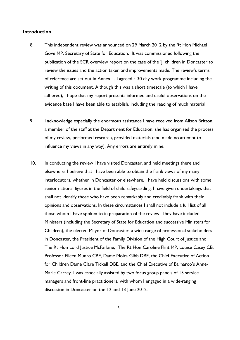#### <span id="page-4-0"></span>**Introduction**

- 8. This independent review was announced on 29 March 2012 by the Rt Hon Michael Gove MP, Secretary of State for Education. It was commissioned following the publication of the SCR overview report on the case of the 'J' children in Doncaster to review the issues and the action taken and improvements made. The review's terms of reference are set out in Annex 1. I agreed a 30 day work programme including the writing of this document. Although this was a short timescale (to which I have adhered), I hope that my report presents informed and useful observations on the evidence base I have been able to establish, including the reading of much material.
- 9. I acknowledge especially the enormous assistance I have received from Alison Britton, a member of the staff at the Department for Education: she has organised the process of my review, performed research, provided materials (and made no attempt to influence my views in any way). Any errors are entirely mine.
- elsewhere. I believe that I have been able to obtain the frank views of my many 10. In conducting the review I have visited Doncaster, and held meetings there and interlocutors, whether in Doncaster or elsewhere. I have held discussions with some senior national figures in the field of child safeguarding. I have given undertakings that I shall not identify those who have been remarkably and creditably frank with their opinions and observations. In these circumstances I shall not include a full list of all those whom I have spoken to in preparation of the review. They have included Ministers (including the Secretary of State for Education and successive Ministers for Children), the elected Mayor of Doncaster, a wide range of professional stakeholders in Doncaster, the President of the Family Division of the High Court of Justice and The Rt Hon Lord Justice McFarlane, The Rt Hon Caroline Flint MP, Louise Casey CB, Professor Eileen Munro CBE, Dame Moira Gibb DBE, the Chief Executive of Action for Children Dame Clare Tickell DBE, and the Chief Executive of Barnardo's Anne-Marie Carrey. I was especially assisted by two focus group panels of 15 service managers and front-line practitioners, with whom I engaged in a wide-ranging discussion in Doncaster on the 12 and 13 June 2012.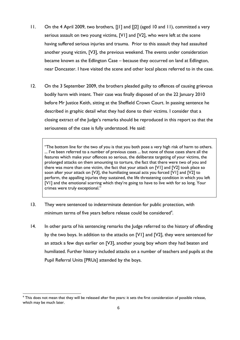- having suffered serious injuries and trauma. Prior to this assault they had assaulted 11. On the 4 April 2009, two brothers, [11] and [12] (aged 10 and 11), committed a very serious assault on two young victims, [V1] and [V2], who were left at the scene another young victim, [V3], the previous weekend. The events under consideration became known as the Edlington Case – because they occurred on land at Edlington, near Doncaster. I have visited the scene and other local places referred to in the case.
- 12. On the 3 September 2009, the brothers pleaded guilty to offences of causing grievous bodily harm with intent. Their case was finally disposed of on the 22 January 2010 before Mr Justice Keith, sitting at the Sheffield Crown Court. In passing sentence he described in graphic detail what they had done to their victims. I consider that a closing extract of the Judge's remarks should be reproduced in this report so that the seriousness of the case is fully understood. He said:

 "The bottom line for the two of you is that you both pose a very high risk of harm to others. ... I've been referred to a number of previous cases ... but none of those cases share all the features which make your offences so serious, the deliberate targeting of your victims, the prolonged attacks on them amounting to torture, the fact that there were two of you and there was more than one victim, the fact that your attack on [V1] and [V2] took place so soon after your attack on [V3], the humiliating sexual acts you forced [V1] and [V2] to perform, the appalling injuries they sustained, the life threatening condition in which you left [V1] and the emotional scarring which they're going to have to live with for so long. Your crimes were truly exceptional."

- 13. They were sentenced to indeterminate detention for public protection, with minimum terms of five years before release could be considered<sup>4</sup>.
- 14. In other parts of his sentencing remarks the Judge referred to the history of offending by the two boys. In addition to the attacks on [V1] and [V2], they were sentenced for an attack a few days earlier on [V3], another young boy whom they had beaten and humiliated. Further history included attacks on a number of teachers and pupils at the Pupil Referral Units [PRUs] attended by the boys.

<sup>1</sup> 4 This does not mean that they will be released after five years: it sets the first consideration of possible release, which may be much later.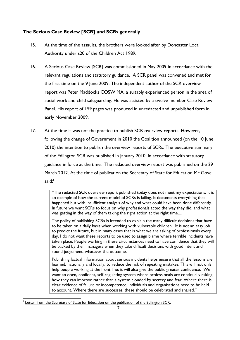### <span id="page-6-0"></span>**The Serious Case Review [SCR] and SCRs generally**

- Authority under s20 of the Children Act 1989. 15. At the time of the assaults, the brothers were looked after by Doncaster Local
- 16. A Serious Case Review [SCR] was commissioned in May 2009 in accordance with the relevant regulations and statutory guidance. A SCR panel was convened and met for the first time on the 9 June 2009. The independent author of the SCR overview report was Peter Maddocks CQSW MA, a suitably experienced person in the area of social work and child safeguarding. He was assisted by a twelve member Case Review Panel. His report of 159 pages was produced in unredacted and unpublished form in early November 2009.
- said: $5$ 17. At the time it was not the practice to publish SCR overview reports. However, following the change of Government in 2010 the Coalition announced (on the 10 June 2010) the intention to publish the overview reports of SCRs. The executive summary of the Edlington SCR was published in January 2010, in accordance with statutory guidance in force at the time. The redacted overview report was published on the 29 March 2012. At the time of publication the Secretary of State for Education Mr Gove

 "The redacted SCR overview report published today does not meet my expectations. It is an example of how the current model of SCRs is failing. It documents everything that happened but with insufficient analysis of why and what could have been done differently. In future we want SCRs to focus on why professionals acted the way they did, and what was getting in the way of them taking the right action at the right time....

 The policy of publishing SCRs is intended to explain the many difficult decisions that have to be taken on a daily basis when working with vulnerable children. It is not an easy job to predict the future, but in many cases that is what we are asking of professionals every day. I do not want these reports to be used to assign blame where terrible incidents have taken place. People working in these circumstances need to have confidence that they will be backed by their managers when they take difficult decisions with good intent and sound judgement, whatever the outcome.

sound judgement, whatever the outcome.<br>Publishing factual information about serious incidents helps ensure that all the lessons are learned, nationally and locally, to reduce the risk of repeating mistakes. This will not only help people working at the front line; it will also give the public greater confidence. We want an open, confident, self-regulating system where professionals are continually asking how they can improve rather than a system clouded by secrecy and fear. Where there is clear evidence of failure or incompetence, individuals and organisations need to be held to account. Where there are successes, these should be celebrated and shared."

<sup>1</sup> <sup>5</sup> [Letter from the Secretary of State for Education on the publication of the Edlington SCR.](http://www.education.gov.uk/in%20the%20news/a00205952/)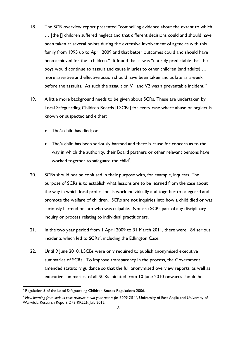- family from 1995 up to April 2009 and that better outcomes could and should have been achieved for the J children." It found that it was "entirely predictable that the 18. The SCR overview report presented "compelling evidence about the extent to which … [the J] children suffered neglect and that different decisions could and should have been taken at several points during the extensive involvement of agencies with this boys would continue to assault and cause injuries to other children (and adults) … more assertive and effective action should have been taken and as late as a week before the assaults. As such the assault on V1 and V2 was a preventable incident."
- 19. A little more background needs to be given about SCRs. These are undertaken by Local Safeguarding Children Boards [LSCBs] for every case where abuse or neglect is known or suspected and either:
	- The/a child has died; or
	- The/a child has been seriously harmed and there is cause for concern as to the way in which the authority, their Board partners or other relevant persons have worked together to safeguard the child<sup>6</sup>.
- seriously harmed or into who was culpable. Nor are SCRs part of any disciplinary 20. SCRs should not be confused in their purpose with, for example, inquests. The purpose of SCRs is to establish what lessons are to be learned from the case about the way in which local professionals work individually and together to safeguard and promote the welfare of children. SCRs are not inquiries into how a child died or was inquiry or process relating to individual practitioners.
- 21. In the two year period from 1 April 2009 to 31 March 2011, there were 184 serious incidents which led to  $SCRs^7$ , including the Edlington Case.
- 22. Until 9 June 2010, LSCBs were only required to publish anonymised executive summaries of SCRs. To improve transparency in the process, the Government amended statutory guidance so that the full anonymised overview reports, as well as executive summaries, of all SCRs initiated from 10 June 2010 onwards should be

 $\overline{a}$ 

<sup>&</sup>lt;sup>6</sup> Regulation 5 of the Local Safeguarding Children Boards Regulations 2006.

<sup>7</sup>*New learning from serious case reviews: a two year report for 2009-2011*, University of East Anglia and University of Warwick, Research Report DFE-RR226, July 2012.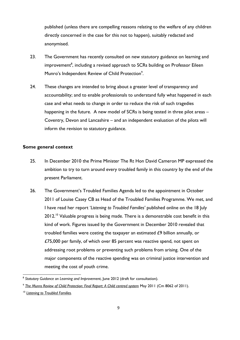published (unless there are compelling reasons relating to the welfare of any children directly concerned in the case for this not to happen), suitably redacted and anonymised.

- 23. The Government has recently consulted on new statutory guidance on learning and improvement<sup>8</sup>, including a revised approach to SCRs building on Professor Eileen Munro's Independent Review of Child Protection<sup>9</sup>.
- happening in the future. A new model of SCRs is being tested in three pilot areas - inform the revision to statutory guidance. 24. These changes are intended to bring about a greater level of transparency and accountability; and to enable professionals to understand fully what happened in each case and what needs to change in order to reduce the risk of such tragedies Coventry, Devon and Lancashire – and an independent evaluation of the pilots will

#### <span id="page-8-0"></span>**Some general context**

- 25. In December 2010 the Prime Minister The Rt Hon David Cameron MP expressed the ambition to try to turn around every troubled family in this country by the end of the present Parliament.
- 26. The Government's Troubled Families Agenda led to the appointment in October 2011 of Louise Casey CB as Head of the Troubled Families Programme. We met, and I have read her report '*Listening to Troubled Families'* published online on the 18 July 2012.<sup>10</sup> Valuable progress is being made. There is a demonstrable cost benefit in this kind of work. Figures issued by the Government in December 2010 revealed that troubled families were costing the taxpayer an estimated £9 billion annually, or £75,000 per family, of which over 85 percent was reactive spend, not spent on addressing root problems or preventing such problems from arising. One of the major components of the reactive spending was on criminal justice intervention and meeting the cost of youth crime.

**<sup>.</sup>** <sup>8</sup>*Statutory Guidance on Learning and Improvement*, June 2012 (draft for consultation).

<sup>9</sup>*[The Munro Review of Child Protection: Final Report: A Child centred system](https://www.education.gov.uk/publications/standard/publicationDetail/Page1/CM%208062)* May 2011 (Cm 8062 of 2011).

<sup>10</sup>*[Listening to Troubled Families.](http://www.communities.gov.uk/documents/communities/pdf/2183663.pdf)*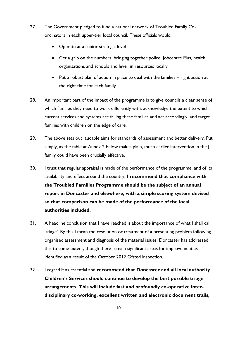- 27. The Government pledged to fund a national network of Troubled Family Coordinators in each upper-tier local council. These officials would:
	- Operate at a senior strategic level
	- Get a grip on the numbers, bringing together police, Jobcentre Plus, health organisations and schools and lever in resources locally
	- Put a robust plan of action in place to deal with the families right action at the right time for each family
- 28. An important part of the impact of the programme is to give councils a clear sense of which families they need to work differently with; acknowledge the extent to which current services and systems are failing these families and act accordingly; and target families with children on the edge of care.
- 29. The above sets out laudable aims for standards of assessment and better delivery. Put simply, as the table at Annex 2 below makes plain, much earlier intervention in the J family could have been crucially effective.
- 30. I trust that regular appraisal is made of the performance of the programme, and of its availability and effect around the country. **I recommend that compliance with the Troubled Families Programme should be the subject of an annual report in Doncaster and elsewhere, with a simple scoring system devised so that comparison can be made of the performance of the local authorities included.**
- 31. A headline conclusion that I have reached is about the importance of what I shall call 'triage'. By this I mean the resolution or treatment of a presenting problem following organised assessment and diagnosis of the material issues. Doncaster has addressed this to some extent, though there remain significant areas for improvement as identified as a result of the October 2012 Ofsted inspection.
- 32. I regard it as essential and **recommend that Doncaster and all local authority Children's Services should continue to develop the best possible triage arrangements. This will include fast and profoundly co-operative interdisciplinary co-working, excellent written and electronic document trails,**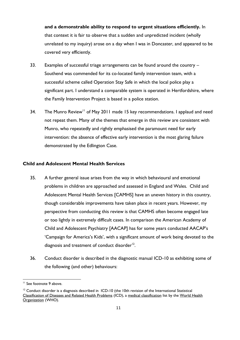**and a demonstrable ability to respond to urgent situations efficiently.** In that context it is fair to observe that a sudden and unpredicted incident (wholly unrelated to my inquiry) arose on a day when I was in Doncaster, and appeared to be covered very efficiently.

- 33. Examples of successful triage arrangements can be found around the country -Southend was commended for its co-located family intervention team, with a successful scheme called Operation Stay Safe in which the local police play a significant part. I understand a comparable system is operated in Hertfordshire, where the Family Intervention Project is based in a police station.
- 34. The Munro Review<sup>11</sup> of May 2011 made 15 key recommendations. I applaud and need not repeat them. Many of the themes that emerge in this review are consistent with Munro, who repeatedly and rightly emphasised the paramount need for early intervention: the absence of effective early intervention is the most glaring failure demonstrated by the Edlington Case.

#### <span id="page-10-0"></span>**Child and Adolescent Mental Health Services**

- diagnosis and treatment of conduct disorder $12$ . 35. A further general issue arises from the way in which behavioural and emotional problems in children are approached and assessed in England and Wales. Child and Adolescent Mental Health Services [CAMHS] have an uneven history in this country, though considerable improvements have taken place in recent years. However, my perspective from conducting this review is that CAMHS often become engaged late or too lightly in extremely difficult cases. In comparison the American Academy of Child and Adolescent Psychiatry [AACAP] has for some years conducted AACAP's 'Campaign for America's Kids', with a significant amount of work being devoted to the
- 36. Conduct disorder is described in the diagnostic manual ICD-10 as exhibiting some of the following (and other) behaviours:

<sup>&</sup>lt;sup>11</sup> See footnote 9 above.

<sup>&</sup>lt;sup>12</sup> Conduct disorder is a diagnosis described in ICD-10 (the 10th revision of the International Statistical [Classification of Diseases and Related Health Problems](http://en.wikipedia.org/wiki/International_Statistical_Classification_of_Diseases_and_Related_Health_Problems) (ICD), a [medical classification](http://en.wikipedia.org/wiki/Medical_classification) list by the World Health [Organization](http://en.wikipedia.org/wiki/World_Health_Organization) (WHO).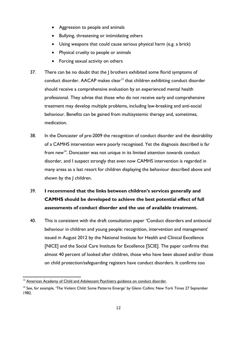- Aggression to people and animals
- Bullying, threatening or intimidating others
- Using weapons that could cause serious physical harm (e.g. a brick)
- Physical cruelty to people or animals
- Forcing sexual activity on others
- conduct disorder. AACAP makes clear<sup>13</sup> that children exhibiting conduct disorder 37. There can be no doubt that the | brothers exhibited some florid symptoms of should receive a comprehensive evaluation by an experienced mental health professional. They advise that those who do not receive early and comprehensive treatment may develop multiple problems, including law-breaking and anti-social behaviour. Benefits can be gained from multisystemic therapy and, sometimes, medication.
- from new<sup>14</sup>. Doncaster was not unique in its limited attention towards conduct 38. In the Doncaster of pre-2009 the recognition of conduct disorder and the desirability of a CAMHS intervention were poorly recognised. Yet the diagnosis described is far disorder, and I suspect strongly that even now CAMHS intervention is regarded in many areas as a last resort for children displaying the behaviour described above and shown by the J children.
- **assessments of conduct disorder and the use of available treatment.**  39. **I recommend that the links between children's services generally and CAMHS should be developed to achieve the best potential effect of full**
- 40. This is consistent with the draft consultation paper 'Conduct disorders and antisocial behaviour in children and young people: recognition, intervention and management' issued in August 2012 by the National Institute for Health and Clinical Excellence [NICE] and the Social Care Institute for Excellence [SCIE]. The paper confirms that almost 40 percent of looked after children, those who have been abused and/or those on child protection/safeguarding registers have conduct disorders. It confirms too

**<sup>.</sup>** <sup>13</sup> American Academy of Child and Adolescent Psychiatry guidance on conduct disorder.

<sup>&</sup>lt;sup>14</sup> See, for example, 'The Violent Child: Some Patterns Emerge' by Glenn Collins: New York Times 27 September 1982.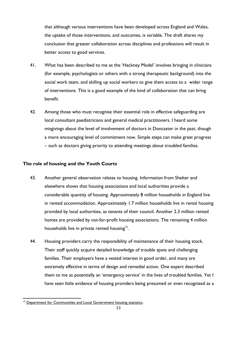that although various interventions have been developed across England and Wales, the uptake of those interventions, and outcomes, is variable. The draft shares my conclusion that greater collaboration across disciplines and professions will result in better access to good services.

- social work team, and skilling up social workers to give them access to a wider range 41. What has been described to me as the 'Hackney Model' involves bringing in clinicians (for example, psychologists or others with a strong therapeutic background) into the of interventions. This is a good example of the kind of collaboration that can bring benefit.
- 42. Among those who must recognise their essential role in effective safeguarding are local consultant paediatricians and general medical practitioners. I heard some misgivings about the level of involvement of doctors in Doncaster in the past, though a more encouraging level of commitment now. Simple steps can make great progress – such as doctors giving priority to attending meetings about troubled families.

#### <span id="page-12-0"></span>**The role of housing and the Youth Courts**

- provided by local authorities, as tenants of their council. Another 2.3 million rented 43. Another general observation relates to housing. Information from Shelter and elsewhere shows that housing associations and local authorities provide a considerable quantity of housing. Approximately 8 million households in England live in rented accommodation. Approximately 1.7 million households live in rental housing homes are provided by not-for-profit housing associations. The remaining 4 million households live in private rented housing<sup>15</sup>.
- 44. Housing providers carry the responsibility of maintenance of their housing stock. Their staff quickly acquire detailed knowledge of trouble spots and challenging families. Their employers have a vested interest in good order, and many are extremely effective in terms of design and remedial action. One expert described them to me as potentially an 'emergency service' in the lives of troubled families. Yet I have seen little evidence of housing providers being presumed or even recognised as a

<sup>1</sup> <sup>15</sup> Department for Communities and Local Government housing statistics.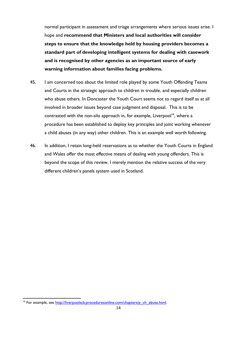**steps to ensure that the knowledge held by housing providers becomes a**  normal participant in assessment and triage arrangements where serious issues arise. I hope and **recommend that Ministers and local authorities will consider standard part of developing intelligent systems for dealing with casework and is recognised by other agencies as an important source of early warning information about families facing problems.** 

- 45. I am concerned too about the limited role played by some Youth Offending Teams and Courts in the strategic approach to children in trouble, and especially children who abuse others. In Doncaster the Youth Court seems not to regard itself as at all involved in broader issues beyond case judgment and disposal. This is to be contrasted with the non-silo approach in, for example, Liverpool<sup>16</sup>, where a procedure has been established to deploy key principles and joint working whenever a child abuses (in any way) other children. This is an example well worth following.
- 46. In addition, I retain long-held reservations as to whether the Youth Courts in England and Wales offer the most effective means of dealing with young offenders. This is beyond the scope of this review. I merely mention the relative success of the very different children's panels system used in Scotland.

<sup>1</sup> <sup>16</sup> For example, see http://liverpoolscb.proceduresonline.com/chapters/p\_ch\_abuse.html.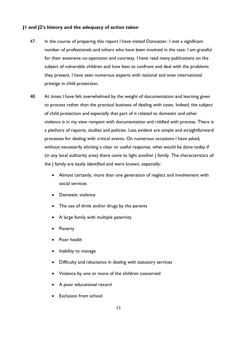#### <span id="page-14-0"></span>**J1 and J2's history and the adequacy of action taken**

- 47. In the course of preparing this report I have visited Doncaster. I met a significant number of professionals and others who have been involved in the case. I am grateful for their extensive co-operation and courtesy. I have read many publications on the subject of vulnerable children and how best to confront and deal with the problems they present. I have seen numerous experts with national and even international prestige in child protection.
- 48. At times I have felt overwhelmed by the weight of documentation and learning given to process rather than the practical business of dealing with cases. Indeed, the subject of child protection and especially that part of it related to domestic and other violence is in my view rampant with documentation and riddled with process. There is a plethora of reports, studies and policies. Less evident are simple and straightforward processes for dealing with critical events. On numerous occasions I have asked, without necessarily eliciting a clear or useful response, what would be done today if (in any local authority area) there came to light another J family. The characteristics of the J family are easily identified and were known, especially:
	- Almost certainly, more than one generation of neglect and involvement with social services
	- Domestic violence
	- The use of drink and/or drugs by the parents
	- A large family with multiple paternity
	- Poverty
	- Poor health
	- Inability to manage
	- Difficulty and reluctance in dealing with statutory services
	- Violence by one or more of the children concerned
	- A poor educational record
	- Exclusion from school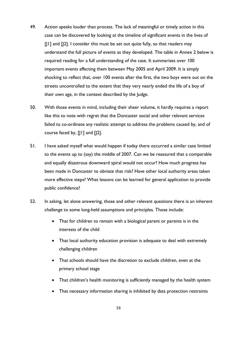- 49. Action speaks louder than process. The lack of meaningful or timely action in this case can be discovered by looking at the timeline of significant events in the lives of [J1] and [J2]. I consider this must be set out quite fully, so that readers may understand the full picture of events as they developed. The table in Annex 2 below is required reading for a full understanding of the case. It summarises over 100 important events affecting them between May 2005 and April 2009. It is simply shocking to reflect that, over 100 events after the first, the two boys were out on the streets uncontrolled to the extent that they very nearly ended the life of a boy of their own age, in the context described by the Judge.
- 50. With those events in mind, including their sheer volume, it hardly requires a report like this to note with regret that the Doncaster social and other relevant services failed to co-ordinate any realistic attempt to address the problems caused by, and of course faced by, [J1] and [J2].
- 51. I have asked myself what would happen if today there occurred a similar case limited to the events up to (say) the middle of 2007. Can we be reassured that a comparable and equally disastrous downward spiral would not occur? How much progress has been made in Doncaster to obviate that risk? Have other local authority areas taken more effective steps? What lessons can be learned for general application to provide public confidence?
- 52. In asking, let alone answering, those and other relevant questions there is an inherent challenge to some long-held assumptions and principles. Those include:
	- That for children to remain with a biological parent or parents is in the interests of the child
	- That local authority education provision is adequate to deal with extremely challenging children
	- That schools should have the discretion to exclude children, even at the primary school stage
	- That children's health monitoring is sufficiently managed by the health system
	- That necessary information sharing is inhibited by data protection restraints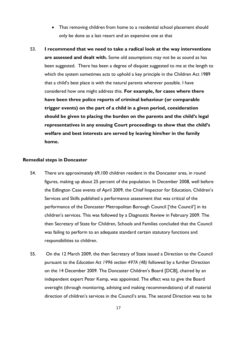- That removing children from home to a residential school placement should only be done as a last resort and an expensive one at that
- **have been three police reports of criminal behaviour (or comparable**  53. **I recommend that we need to take a radical look at the way interventions are assessed and dealt with.** Some old assumptions may not be as sound as has been suggested. There has been a degree of disquiet suggested to me at the length to which the system sometimes acts to uphold a key principle in the Children Act 1989 that a child's best place is with the natural parents wherever possible. I have considered how one might address this. **For example, for cases where there trigger events) on the part of a child in a given period, consideration should be given to placing the burden on the parents and the child's legal representatives in any ensuing Court proceedings to show that the child's welfare and best interests are served by leaving him/her in the family home.**

#### <span id="page-16-0"></span>**Remedial steps in Doncaster**

- 54. There are approximately 69,100 children resident in the Doncaster area, in round figures, making up about 25 percent of the population. In December 2008, well before the Edlington Case events of April 2009, the Chief Inspector for Education, Children's Services and Skills published a performance assessment that was critical of the performance of the Doncaster Metropolitan Borough Council ['the Council'] in its children's services. This was followed by a Diagnostic Review in February 2009. The then Secretary of State for Children, Schools and Families concluded that the Council was failing to perform to an adequate standard certain statutory functions and responsibilities to children.
- 55. On the 12 March 2009, the then Secretary of State issued a Direction to the Council pursuant to the *Education Act 1996 section 497A (4B)* followed by a further Direction on the 14 December 2009. The Doncaster Children's Board [DCB], chaired by an independent expert Peter Kemp, was appointed. The effect was to give the Board oversight (through monitoring, advising and making recommendations) of all material direction of children's services in the Council's area. The second Direction was to be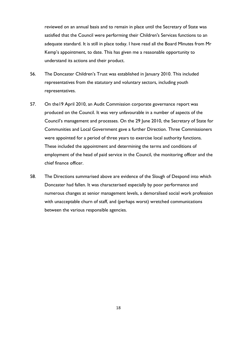reviewed on an annual basis and to remain in place until the Secretary of State was satisfied that the Council were performing their Children's Services functions to an adequate standard. It is still in place today. I have read all the Board Minutes from Mr Kemp's appointment, to date. This has given me a reasonable opportunity to understand its actions and their product.

- 56. The Doncaster Children's Trust was established in January 2010. This included representatives from the statutory and voluntary sectors, including youth representatives.
- 57. On the 19 April 2010, an Audit Commission corporate governance report was produced on the Council. It was very unfavourable in a number of aspects of the Council's management and processes. On the 29 June 2010, the Secretary of State for Communities and Local Government gave a further Direction. Three Commissioners were appointed for a period of three years to exercise local authority functions. These included the appointment and determining the terms and conditions of employment of the head of paid service in the Council, the monitoring officer and the chief finance officer.
- 58. The Directions summarised above are evidence of the Slough of Despond into which Doncaster had fallen. It was characterised especially by poor performance and numerous changes at senior management levels, a demoralised social work profession with unacceptable churn of staff, and (perhaps worst) wretched communications between the various responsible agencies.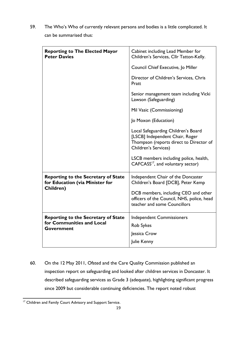59. The Who's Who of currently relevant persons and bodies is a little complicated. It can be summarised thus:

| <b>Reporting to The Elected Mayor</b><br><b>Peter Davies</b>                  | Cabinet including Lead Member for<br>Children's Services, Cllr Tatton-Kelly.                                                              |
|-------------------------------------------------------------------------------|-------------------------------------------------------------------------------------------------------------------------------------------|
|                                                                               | Council Chief Executive, Jo Miller                                                                                                        |
|                                                                               | Director of Children's Services, Chris<br>Pratt                                                                                           |
|                                                                               | Senior management team including Vicki<br>Lawson (Safeguarding)                                                                           |
|                                                                               | Mil Vasic (Commissioning)                                                                                                                 |
|                                                                               | Jo Moxon (Education)                                                                                                                      |
|                                                                               | Local Safeguarding Children's Board<br>[LSCB] Independent Chair, Roger<br>Thompson (reports direct to Director of<br>Children's Services) |
|                                                                               | LSCB members including police, health,<br>CAFCASS <sup>17</sup> , and voluntary sector)                                                   |
| <b>Reporting to the Secretary of State</b><br>for Education (via Minister for | Independent Chair of the Doncaster<br>Children's Board [DCB], Peter Kemp                                                                  |
| Children)                                                                     | DCB members, including CEO and other<br>officers of the Council, NHS, police, head<br>teacher and some Councillors                        |
| <b>Reporting to the Secretary of State</b>                                    | <b>Independent Commissioners</b>                                                                                                          |
| for Communities and Local<br>Government                                       | <b>Rob Sykes</b>                                                                                                                          |
|                                                                               | Jessica Crow                                                                                                                              |
|                                                                               | Julie Kenny                                                                                                                               |

60. On the 12 May 2011, Ofsted and the Care Quality Commission published an inspection report on safeguarding and looked after children services in Doncaster. It described safeguarding services as Grade 3 (adequate), highlighting significant progress since 2009 but considerable continuing deficiencies. The report noted robust

<sup>1</sup> <sup>17</sup> Children and Family Court Advisory and Support Service.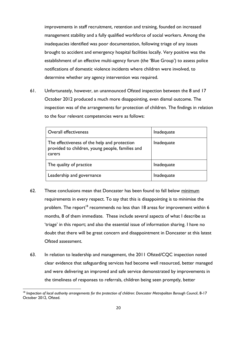improvements in staff recruitment, retention and training, founded on increased management stability and a fully qualified workforce of social workers. Among the inadequacies identified was poor documentation, following triage of any issues brought to accident and emergency hospital facilities locally. Very positive was the establishment of an effective multi-agency forum (the 'Blue Group') to assess police notifications of domestic violence incidents where children were involved, to determine whether any agency intervention was required.

61. Unfortunately, however, an unannounced Ofsted inspection between the 8 and 17 October 2012 produced a much more disappointing, even dismal outcome. The inspection was of the arrangements for protection of children. The findings in relation to the four relevant competencies were as follows:

| Overall effectiveness                                                                                      | Inadequate |
|------------------------------------------------------------------------------------------------------------|------------|
| The effectiveness of the help and protection<br>provided to children, young people, families and<br>carers | Inadequate |
| The quality of practice                                                                                    | Inadequate |
| Leadership and governance                                                                                  | Inadequate |

- 62. These conclusions mean that Doncaster has been found to fall below minimum requirements in every respect. To say that this is disappointing is to minimise the problem. The report<sup>18</sup> recommends no less than 18 areas for improvement within 6 months, 8 of them immediate. These include several aspects of what I describe as 'triage' in this report; and also the essential issue of information sharing. I have no doubt that there will be great concern and disappointment in Doncaster at this latest Ofsted assessment.
- 63. In relation to leadership and management, the 2011 Ofsted/CQC inspection noted clear evidence that safeguarding services had become well resourced, better managed and were delivering an improved and safe service demonstrated by improvements in the timeliness of responses to referrals, children being seen promptly, better

 $\overline{a}$ <sup>18</sup> Inspection of local authority arrangements for the protection of children: Doncaster Metropolitan Borough Council, 8-17 October 2012, Ofsted.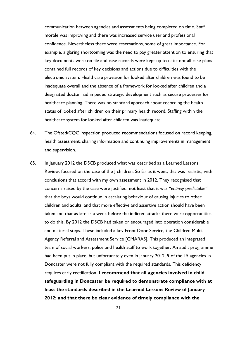communication between agencies and assessments being completed on time. Staff morale was improving and there was increased service user and professional confidence. Nevertheless there were reservations, some of great importance. For example, a glaring shortcoming was the need to pay greater attention to ensuring that key documents were on file and case records were kept up to date: not all case plans contained full records of key decisions and actions due to difficulties with the electronic system. Healthcare provision for looked after children was found to be inadequate overall and the absence of a framework for looked after children and a designated doctor had impeded strategic development such as secure processes for healthcare planning. There was no standard approach about recording the health status of looked after children on their primary health record. Staffing within the healthcare system for looked after children was inadequate.

- 64. The Ofsted/CQC inspection produced recommendations focused on record keeping, health assessment, sharing information and continuing improvements in management and supervision.
- 65. In January 2012 the DSCB produced what was described as a Learned Lessons Review, focused on the case of the J children. So far as it went, this was realistic, with conclusions that accord with my own assessment in 2012. They recognised that concerns raised by the case were justified, not least that it was *"entirely predictable"*  that the boys would continue in escalating behaviour of causing injuries to other children and adults; and that more effective and assertive action should have been taken and that as late as a week before the indicted attacks there were opportunities to do this. By 2012 the DSCB had taken or encouraged into operation considerable and material steps. These included a key Front Door Service, the Children Multi-Agency Referral and Assessment Service [CMARAS]. This produced an integrated team of social workers, police and health staff to work together. An audit programme had been put in place, but unfortunately even in January 2012, 9 of the 15 agencies in Doncaster were not fully compliant with the required standards. This deficiency requires early rectification. **I recommend that all agencies involved in child safeguarding in Doncaster be required to demonstrate compliance with at least the standards described in the Learned Lessons Review of January 2012; and that there be clear evidence of timely compliance with the**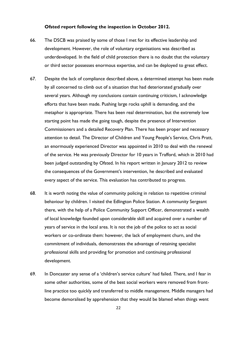#### **Ofsted report following the inspection in October 2012.**

- 66. The DSCB was praised by some of those I met for its effective leadership and development. However, the role of voluntary organisations was described as underdeveloped. In the field of child protection there is no doubt that the voluntary or third sector possesses enormous expertise, and can be deployed to great effect.
- efforts that have been made. Pushing large rocks uphill is demanding, and the 67. Despite the lack of compliance described above, a determined attempt has been made by all concerned to climb out of a situation that had deteriorated gradually over several years. Although my conclusions contain continuing criticism, I acknowledge metaphor is appropriate. There has been real determination, but the extremely low starting point has made the going tough, despite the presence of Intervention Commissioners and a detailed Recovery Plan. There has been proper and necessary attention to detail. The Director of Children and Young People's Service, Chris Pratt, an enormously experienced Director was appointed in 2010 to deal with the renewal of the service. He was previously Director for 10 years in Trafford, which in 2010 had been judged outstanding by Ofsted. In his report written in January 2012 to review the consequences of the Government's intervention, he described and evaluated every aspect of the service. This evaluation has contributed to progress.
- 68. It is worth noting the value of community policing in relation to repetitive criminal behaviour by children. I visited the Edlington Police Station. A community Sergeant there, with the help of a Police Community Support Officer, demonstrated a wealth of local knowledge founded upon considerable skill and acquired over a number of years of service in the local area. It is not the job of the police to act as social workers or co-ordinate them: however, the lack of employment churn, and the commitment of individuals, demonstrates the advantage of retaining specialist professional skills and providing for promotion and continuing professional development.
- 69. In Doncaster any sense of a 'children's service culture' had failed. There, and I fear in some other authorities, some of the best social workers were removed from frontline practice too quickly and transferred to middle management. Middle managers had become demoralised by apprehension that they would be blamed when things went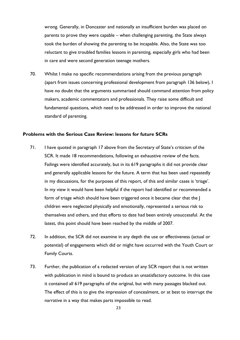wrong. Generally, in Doncaster and nationally an insufficient burden was placed on parents to prove they were capable – when challenging parenting, the State always took the burden of showing the parenting to be incapable. Also, the State was too reluctant to give troubled families lessons in parenting, especially girls who had been in care and were second generation teenage mothers.

70. Whilst I make no specific recommendations arising from the previous paragraph (apart from issues concerning professional development from paragraph 136 below), I have no doubt that the arguments summarised should command attention from policy makers, academic commentators and professionals. They raise some difficult and fundamental questions, which need to be addressed in order to improve the national standard of parenting.

#### <span id="page-22-0"></span>**Problems with the Serious Case Review: lessons for future SCRs**

- 71. I have quoted in paragraph 17 above from the Secretary of State's criticism of the SCR. It made 18 recommendations, following an exhaustive review of the facts. Failings were identified accurately, but in its 619 paragraphs it did not provide clear and generally applicable lessons for the future. A term that has been used repeatedly in my discussions, for the purposes of this report, of this and similar cases is 'triage'. In my view it would have been helpful if the report had identified or recommended a form of triage which should have been triggered once it became clear that the J children were neglected physically and emotionally, represented a serious risk to themselves and others, and that efforts to date had been entirely unsuccessful. At the latest, this point should have been reached by the middle of 2007.
- 72. In addition, the SCR did not examine in any depth the use or effectiveness (actual or potential) of engagements which did or might have occurred with the Youth Court or Family Courts.
- narrative in a way that makes parts impossible to read. 73. Further, the publication of a redacted version of any SCR report that is not written with publication in mind is bound to produce an unsatisfactory outcome. In this case it contained all 619 paragraphs of the original, but with many passages blacked out. The effect of this is to give the impression of concealment, or at best to interrupt the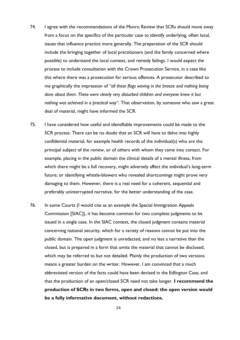- *nothing was achieved in a practical way"*. That observation, by someone who saw a great 74. I agree with the recommendations of the Munro Review that SCRs should move away from a focus on the specifics of the particular case to identify underlying, often local, issues that influence practice more generally. The preparation of the SCR should include the bringing together of local practitioners (and the family concerned where possible) to understand the local context, and remedy failings. I would expect the process to include consultation with the Crown Prosecution Service, in a case like this where there was a prosecution for serious offences. A prosecutor described to me graphically the impression of *"all these flags waving in the breeze and nothing being done about them. These were clearly very disturbed children and everyone knew it but*  deal of material, might have informed the SCR.
- 75. I have considered how useful and identifiable improvements could be made to the SCR process. There can be no doubt that an SCR will have to delve into highly confidential material, for example health records of the individual(s) who are the principal subject of the review, or of others with whom they came into contact. For example, placing in the public domain the clinical details of a mental illness, from which there might be a full recovery, might adversely affect the individual's long-term future; or identifying whistle-blowers who revealed shortcomings might prove very damaging to them. However, there is a real need for a coherent, sequential and preferably uninterrupted narrative, for the better understanding of the case.
- 76. In some Courts (I would cite as an example the Special Immigration Appeals Commission [SIAC]), it has become common for two complete judgments to be issued in a single case. In the SIAC context, the closed judgment contains material concerning national security, which for a variety of reasons cannot be put into the public domain. The open judgment is unredacted, and no less a narrative than the closed, but is prepared in a form that omits the material that cannot be disclosed, which may be referred to but not detailed. Plainly the production of two versions means a greater burden on the writer. However, I am convinced that a much abbreviated version of the facts could have been devised in the Edlington Case, and that the production of an open/closed SCR need not take longer. **I recommend the production of SCRs in two forms, open and closed: the open version would be a fully informative document, without redactions.**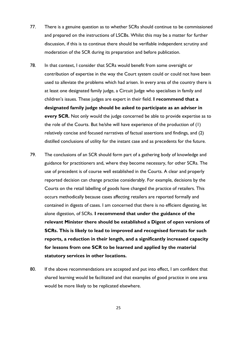- 77. There is a genuine question as to whether SCRs should continue to be commissioned and prepared on the instructions of LSCBs. Whilst this may be a matter for further discussion, if this is to continue there should be verifiable independent scrutiny and moderation of the SCR during its preparation and before publication.
- 78. In that context, I consider that SCRs would benefit from some oversight or contribution of expertise in the way the Court system could or could not have been used to alleviate the problems which had arisen. In every area of the country there is at least one designated family judge, a Circuit Judge who specialises in family and children's issues. These judges are expert in their field. **I recommend that a designated family judge should be asked to participate as an adviser in every SCR.** Not only would the judge concerned be able to provide expertise as to the role of the Courts. But he/she will have experience of the production of (1) relatively concise and focused narratives of factual assertions and findings, and (2) distilled conclusions of utility for the instant case and as precedents for the future.
- 79. The conclusions of an SCR should form part of a gathering body of knowledge and guidance for practitioners and, where they become necessary, for other SCRs. The use of precedent is of course well established in the Courts. A clear and properly reported decision can change practise considerably. For example, decisions by the Courts on the retail labelling of goods have changed the practice of retailers. This occurs methodically because cases affecting retailers are reported formally and contained in digests of cases. I am concerned that there is no efficient digesting, let alone digestion, of SCRs. **I recommend that under the guidance of the relevant Minister there should be established a Digest of open versions of SCRs. This is likely to lead to improved and recognised formats for such reports, a reduction in their length, and a significantly increased capacity for lessons from one SCR to be learned and applied by the material statutory services in other locations.**
- shared learning would be facilitated and that examples of good practice in one area 80. If the above recommendations are accepted and put into effect, I am confident that would be more likely to be replicated elsewhere.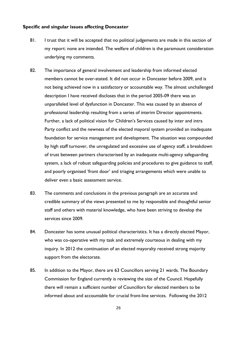#### <span id="page-25-0"></span>**Specific and singular issues affecting Doncaster**

- 81. I trust that it will be accepted that no political judgements are made in this section of my report: none are intended. The welfare of children is the paramount consideration underlying my comments.
- 82. The importance of general involvement and leadership from informed elected members cannot be over-stated. It did not occur in Doncaster before 2009, and is not being achieved now in a satisfactory or accountable way. The almost unchallenged description I have received discloses that in the period 2005-09 there was an unparalleled level of dysfunction in Doncaster. This was caused by an absence of professional leadership resulting from a series of interim Director appointments. Further, a lack of political vision for Children's Services caused by inter and intra Party conflict and the newness of the elected mayoral system provided an inadequate foundation for service management and development. The situation was compounded by high staff turnover, the unregulated and excessive use of agency staff, a breakdown of trust between partners characterised by an inadequate multi-agency safeguarding system, a lack of robust safeguarding policies and procedures to give guidance to staff, and poorly organised 'front door' and triaging arrangements which were unable to deliver even a basic assessment service.
- 83. The comments and conclusions in the previous paragraph are an accurate and credible summary of the views presented to me by responsible and thoughtful senior staff and others with material knowledge, who have been striving to develop the services since 2009.
- 84. Doncaster has some unusual political characteristics. It has a directly elected Mayor, who was co-operative with my task and extremely courteous in dealing with my inquiry. In 2012 the continuation of an elected mayoralty received strong majority support from the electorate.
- 85. In addition to the Mayor, there are 63 Councillors serving 21 wards. The Boundary Commission for England currently is reviewing the size of the Council. Hopefully there will remain a sufficient number of Councillors for elected members to be informed about and accountable for crucial front-line services. Following the 2012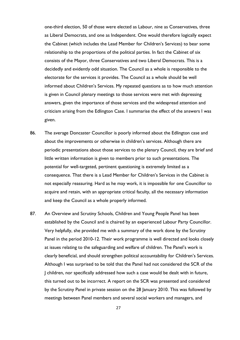consists of the Mayor, three Conservatives and two Liberal Democrats. This is a one-third election, 50 of those were elected as Labour, nine as Conservatives, three as Liberal Democrats, and one as Independent. One would therefore logically expect the Cabinet (which includes the Lead Member for Children's Services) to bear some relationship to the proportions of the political parties. In fact the Cabinet of six decidedly and evidently odd situation. The Council as a whole is responsible to the electorate for the services it provides. The Council as a whole should be well informed about Children's Services. My repeated questions as to how much attention is given in Council plenary meetings to those services were met with depressing answers, given the importance of those services and the widespread attention and criticism arising from the Edlington Case. I summarise the effect of the answers I was given.

- 86. The average Doncaster Councillor is poorly informed about the Edlington case and about the improvements or otherwise in children's services. Although there are periodic presentations about those services to the plenary Council, they are brief and little written information is given to members prior to such presentations. The potential for well-targeted, pertinent questioning is extremely limited as a consequence. That there is a Lead Member for Children's Services in the Cabinet is not especially reassuring. Hard as he may work, it is impossible for one Councillor to acquire and retain, with an appropriate critical faculty, all the necessary information and keep the Council as a whole properly informed.
- 87. An Overview and Scrutiny Schools, Children and Young People Panel has been established by the Council and is chaired by an experienced Labour Party Councillor. Very helpfully, she provided me with a summary of the work done by the Scrutiny Panel in the period 2010-12. Their work programme is well directed and looks closely at issues relating to the safeguarding and welfare of children. The Panel's work is clearly beneficial, and should strengthen political accountability for Children's Services. Although I was surprised to be told that the Panel had not considered the SCR of the J children, nor specifically addressed how such a case would be dealt with in future, this turned out to be incorrect. A report on the SCR was presented and considered by the Scrutiny Panel in private session on the 28 January 2010. This was followed by meetings between Panel members and several social workers and managers, and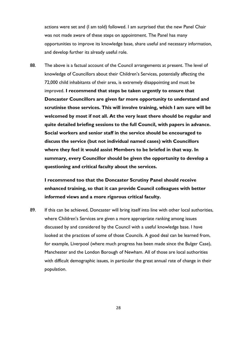actions were set and (I am told) followed. I am surprised that the new Panel Chair was not made aware of these steps on appointment. The Panel has many opportunities to improve its knowledge base, share useful and necessary information, and develop further its already useful role.

88. The above is a factual account of the Council arrangements at present. The level of knowledge of Councillors about their Children's Services, potentially affecting the 72,000 child inhabitants of their area, is extremely disappointing and must be improved. **I recommend that steps be taken urgently to ensure that Doncaster Councillors are given far more opportunity to understand and scrutinise those services. This will involve training, which I am sure will be welcomed by most if not all. At the very least there should be regular and quite detailed briefing sessions to the full Council, with papers in advance. Social workers and senior staff in the service should be encouraged to discuss the service (but not individual named cases) with Councillors where they feel it would assist Members to be briefed in that way. In summary, every Councillor should be given the opportunity to develop a questioning and critical faculty about the services.** 

**I recommend too that the Doncaster Scrutiny Panel should receive enhanced training, so that it can provide Council colleagues with better informed views and a more rigorous critical faculty.** 

 Manchester and the London Borough of Newham. All of those are local authorities 89. If this can be achieved, Doncaster will bring itself into line with other local authorities, where Children's Services are given a more appropriate ranking among issues discussed by and considered by the Council with a useful knowledge base. I have looked at the practices of some of those Councils. A good deal can be learned from, for example, Liverpool (where much progress has been made since the Bulger Case), with difficult demographic issues, in particular the great annual rate of change in their population.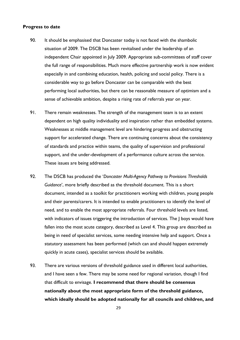#### <span id="page-28-0"></span>**Progress to date**

- 90. It should be emphasised that Doncaster today is not faced with the shambolic situation of 2009. The DSCB has been revitalised under the leadership of an independent Chair appointed in July 2009. Appropriate sub-committees of staff cover the full range of responsibilities. Much more effective partnership work is now evident especially in and combining education, health, policing and social policy. There is a considerable way to go before Doncaster can be comparable with the best performing local authorities, but there can be reasonable measure of optimism and a sense of achievable ambition, despite a rising rate of referrals year on year.
- These issues are being addressed. 91. There remain weaknesses. The strength of the management team is to an extent dependent on high quality individuality and inspiration rather than embedded systems. Weaknesses at middle management level are hindering progress and obstructing support for accelerated change. There are continuing concerns about the consistency of standards and practice within teams, the quality of supervision and professional support, and the under-development of a performance culture across the service.
- 92. The DSCB has produced the '*Doncaster Multi-Agency Pathway to Provisions Thresholds Guidance*', more briefly described as the threshold document. This is a short document, intended as a toolkit for practitioners working with children, young people and their parents/carers. It is intended to enable practitioners to identify the level of need, and to enable the most appropriate referrals. Four threshold levels are listed, with indicators of issues triggering the introduction of services. The | boys would have fallen into the most acute category, described as Level 4. This group are described as being in need of specialist services, some needing intensive help and support. Once a statutory assessment has been performed (which can and should happen extremely quickly in acute cases), specialist services should be available.
- 93. There are various versions of threshold guidance used in different local authorities, and I have seen a few. There may be some need for regional variation, though I find that difficult to envisage. **I recommend that there should be consensus nationally about the most appropriate form of the threshold guidance, which ideally should be adopted nationally for all councils and children, and**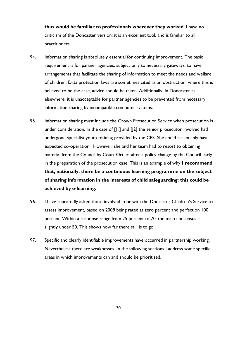**thus would be familiar to professionals wherever they worked**. I have no criticism of the Doncaster version: it is an excellent tool, and is familiar to all practitioners.

- 94. Information sharing is absolutely essential for continuing improvement. The basic requirement is for partner agencies, subject only to necessary gateways, to have arrangements that facilitate the sharing of information to meet the needs and welfare of children. Data protection laws are sometimes cited as an obstruction: where this is believed to be the case, advice should be taken. Additionally, in Doncaster as elsewhere, it is unacceptable for partner agencies to be prevented from necessary information sharing by incompatible computer systems.
- 95. Information sharing must include the Crown Prosecution Service when prosecution is under consideration. In the case of [J1] and [J2] the senior prosecutor involved had undergone specialist youth training provided by the CPS. She could reasonably have expected co-operation. However, she and her team had to resort to obtaining material from the Council by Court Order, after a policy change by the Council early in the preparation of the prosecution case. This is an example of why **I recommend that, nationally, there be a continuous learning programme on the subject of sharing information in the interests of child safeguarding: this could be achieved by e-learning.**
- 96. I have repeatedly asked those involved in or with the Doncaster Children's Service to assess improvement, based on 2008 being rated at zero percent and perfection 100 percent. Within a response range from 25 percent to 70, the main consensus is slightly under 50. This shows how far there still is to go.
- 97. Specific and clearly identifiable improvements have occurred in partnership working. Nevertheless there are weaknesses. In the following sections I address some specific areas in which improvements can and should be prioritised.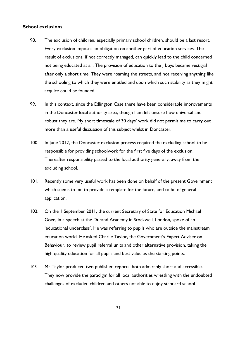#### <span id="page-30-0"></span>**School exclusions**

- 98. The exclusion of children, especially primary school children, should be a last resort. Every exclusion imposes an obligation on another part of education services. The result of exclusions, if not correctly managed, can quickly lead to the child concerned not being educated at all. The provision of education to the J boys became vestigial after only a short time. They were roaming the streets, and not receiving anything like the schooling to which they were entitled and upon which such stability as they might acquire could be founded.
- more than a useful discussion of this subject whilst in Doncaster. 99. In this context, since the Edlington Case there have been considerable improvements in the Doncaster local authority area, though I am left unsure how universal and robust they are. My short timescale of 30 days' work did not permit me to carry out
- 100. In June 2012, the Doncaster exclusion process required the excluding school to be responsible for providing schoolwork for the first five days of the exclusion. Thereafter responsibility passed to the local authority generally, away from the excluding school.
- 101. Recently some very useful work has been done on behalf of the present Government which seems to me to provide a template for the future, and to be of general application.
- 102. On the 1 September 2011, the current Secretary of State for Education Michael Gove, in a speech at the Durand Academy in Stockwell, London, spoke of an 'educational underclass'. He was referring to pupils who are outside the mainstream education world. He asked Charlie Taylor, the Government's Expert Adviser on Behaviour, to review pupil referral units and other alternative provision, taking the high quality education for all pupils and best value as the starting points.
- 103. Mr Taylor produced two published reports, both admirably short and accessible. They now provide the paradigm for all local authorities wrestling with the undoubted challenges of excluded children and others not able to enjoy standard school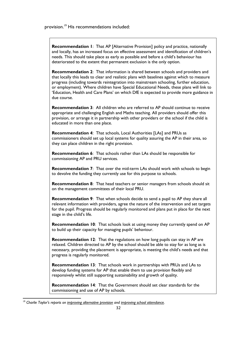provision.19 His recommendations included:

 **Recommendation 1**: That AP [Alternative Provision] policy and practice, nationally and locally, has an increased focus on effective assessment and identification of children's needs. This should take place as early as possible and before a child's behaviour has deteriorated to the extent that permanent exclusion is the only option.

 **Recommendation 2**: That information is shared between schools and providers and that locally this leads to clear and realistic plans with baselines against which to measure progress (including towards reintegration into mainstream schooling, further education, or employment). Where children have Special Educational Needs, these plans will link to 'Education, Health and Care Plans' on which DfE is expected to provide more guidance in due course.

 **Recommendation 3**: All children who are referred to AP should continue to receive appropriate and challenging English and Maths teaching. All providers should offer this provision, or arrange it in partnership with other providers or the school if the child is educated in more than one place.

 **Recommendation 4**: That schools, Local Authorities [LAs] and PRUs as commissioners should set up local systems for quality assuring the AP in their area, so they can place children in the right provision.

 **Recommendation 6**: That schools rather than LAs should be responsible for commissioning AP and PRU services.

 **Recommendation 7**: That over the mid-term LAs should work with schools to begin to devolve the funding they currently use for this purpose to schools.

 **Recommendation 8**: That head teachers or senior managers from schools should sit on the management committees of their local PRU.

 **Recommendation 9**: That when schools decide to send a pupil to AP they share all relevant information with providers, agree the nature of the intervention and set targets for the pupil. Progress should be regularly monitored and plans put in place for the next stage in the child's life.

 **Recommendation 10**: That schools look at using money they currently spend on AP to build up their capacity for managing pupils' behaviour.

 **Recommendation 12**: That the regulations on how long pupils can stay in AP are relaxed. Children directed to AP by the school should be able to stay for as long as is necessary, providing the placement is appropriate, is meeting the child's needs and that progress is regularly monitored.

 **Recommendation 13**: That schools work in partnerships with PRUs and LAs to develop funding systems for AP that enable them to use provision flexibly and responsively whilst still supporting sustainability and growth of quality.

 **Recommendation 14**: That the Government should set clear standards for the commissioning and use of AP by schools.

<sup>&</sup>lt;sup>19</sup> Charlie Taylor's reports on *improving alternative provision* and *improving school attendance*.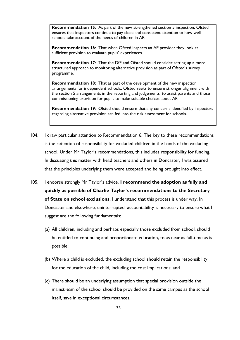**Recommendation 15**: As part of the new strengthened section 5 inspection, Ofsted ensures that inspectors continue to pay close and consistent attention to how well schools take account of the needs of children in AP.

 **Recommendation 16**: That when Ofsted inspects an AP provider they look at sufficient provision to evaluate pupils' experiences.

 **Recommendation 17**: That the DfE and Ofsted should consider setting up a more structured approach to monitoring alternative provision as part of Ofsted's survey programme.

 **Recommendation 18**: That as part of the development of the new inspection arrangements for independent schools, Ofsted seeks to ensure stronger alignment with the section 5 arrangements in the reporting and judgements, to assist parents and those commissioning provision for pupils to make suitable choices about AP.

 **Recommendation 19**: Ofsted should ensure that any concerns identified by inspectors regarding alternative provision are fed into the risk assessment for schools.

- that the principles underlying them were accepted and being brought into effect. 104. I draw particular attention to Recommendation 6. The key to these recommendations is the retention of responsibility for excluded children in the hands of the excluding school. Under Mr Taylor's recommendations, this includes responsibility for funding. In discussing this matter with head teachers and others in Doncaster, I was assured
- 105. I endorse strongly Mr Taylor's advice. **I recommend the adoption as fully and quickly as possible of Charlie Taylor's recommendations to the Secretary of State on school exclusions.** I understand that this process is under way. In Doncaster and elsewhere, uninterrupted accountability is necessary to ensure what I suggest are the following fundamentals:
	- (a) All children, including and perhaps especially those excluded from school, should be entitled to continuing and proportionate education, to as near as full-time as is possible;
	- (b) Where a child is excluded, the excluding school should retain the responsibility for the education of the child, including the cost implications; and
	- (c) There should be an underlying assumption that special provision outside the mainstream of the school should be provided on the same campus as the school itself, save in exceptional circumstances.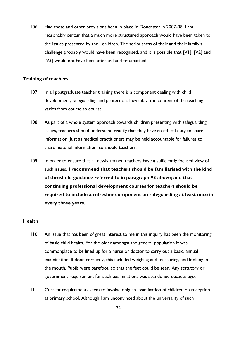106. Had these and other provisions been in place in Doncaster in 2007-08, I am reasonably certain that a much more structured approach would have been taken to the issues presented by the J children. The seriousness of their and their family's challenge probably would have been recognised, and it is possible that [V1], [V2] and [V3] would not have been attacked and traumatised.

#### <span id="page-33-0"></span>**Training of teachers**

- 107. In all postgraduate teacher training there is a component dealing with child development, safeguarding and protection. Inevitably, the content of the teaching varies from course to course.
- 108. As part of a whole system approach towards children presenting with safeguarding issues, teachers should understand readily that they have an ethical duty to share information. Just as medical practitioners may be held accountable for failures to share material information, so should teachers.
- 109. In order to ensure that all newly trained teachers have a sufficiently focused view of such issues, **I recommend that teachers should be familiarised with the kind of threshold guidance referred to in paragraph 93 above; and that continuing professional development courses for teachers should be required to include a refresher component on safeguarding at least once in every three years.**

#### <span id="page-33-1"></span>**Health**

- 110. An issue that has been of great interest to me in this inquiry has been the monitoring of basic child health. For the older amongst the general population it was commonplace to be lined up for a nurse or doctor to carry out a basic, annual examination. If done correctly, this included weighing and measuring, and looking in the mouth. Pupils were barefoot, so that the feet could be seen. Any statutory or government requirement for such examinations was abandoned decades ago.
- 111. Current requirements seem to involve only an examination of children on reception at primary school. Although I am unconvinced about the universality of such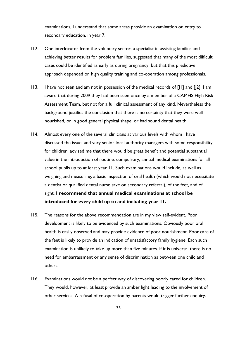secondary education, in year 7. examinations, I understand that some areas provide an examination on entry to

- 112. One interlocutor from the voluntary sector, a specialist in assisting families and achieving better results for problem families, suggested that many of the most difficult cases could be identified as early as during pregnancy; but that this predictive approach depended on high quality training and co-operation among professionals.
- 113. I have not seen and am not in possession of the medical records of [11] and [12]. I am aware that during 2009 they had been seen once by a member of a CAMHS High Risk Assessment Team, but not for a full clinical assessment of any kind. Nevertheless the background justifies the conclusion that there is no certainty that they were wellnourished, or in good general physical shape, or had sound dental health.
- 114. Almost every one of the several clinicians at various levels with whom I have discussed the issue, and very senior local authority managers with some responsibility for children, advised me that there would be great benefit and potential substantial value in the introduction of routine, compulsory, annual medical examinations for all school pupils up to at least year 11. Such examinations would include, as well as weighing and measuring, a basic inspection of oral health (which would not necessitate a dentist or qualified dental nurse save on secondary referral), of the feet, and of sight. **I recommend that annual medical examinations at school be introduced for every child up to and including year 11.**
- 115. The reasons for the above recommendation are in my view self-evident. Poor development is likely to be evidenced by such examinations. Obviously poor oral health is easily observed and may provide evidence of poor nourishment. Poor care of the feet is likely to provide an indication of unsatisfactory family hygiene. Each such examination is unlikely to take up more than five minutes. If it is universal there is no need for embarrassment or any sense of discrimination as between one child and others.
- other services. A refusal of co-operation by parents would trigger further enquiry. 116. Examinations would not be a perfect way of discovering poorly cared for children. They would, however, at least provide an amber light leading to the involvement of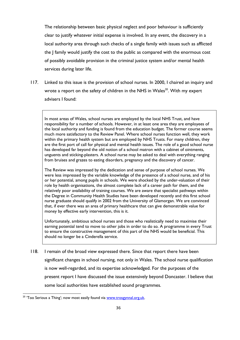The relationship between basic physical neglect and poor behaviour is sufficiently clear to justify whatever initial expense is involved. In any event, the discovery in a local authority area through such checks of a single family with issues such as afflicted the J family would justify the cost to the public as compared with the enormous cost of possibly avoidable provision in the criminal justice system and/or mental health services during later life.

117. Linked to this issue is the provision of school nurses. In 2000, I chaired an inquiry and wrote a report on the safety of children in the NHS in Wales<sup>20</sup>. With my expert advisers I found:

 In most areas of Wales, school nurses are employed by the local NHS Trust, and have responsibility for a number of schools. However, in at least one area they are employees of the local authority and funding is found from the education budget. The former course seems much more satisfactory to the Review Panel. Where school nurses function well, they work within the primary health system but are employed by NHS Trusts. For many children, they are the first port of call for physical and mental health issues. The role of a good school nurse has developed far beyond the old notion of a school matron with a cabinet of ointments, unguents and sticking-plasters. A school nurse may be asked to deal with everything ranging from bruises and grazes to eating disorders, pregnancy and the discovery of cancer.

 The Review was impressed by the dedication and sense of purpose of school nurses. We were less impressed by the variable knowledge of the presence of a school nurse, and of his or her potential, among pupils in schools. We were shocked by the under-valuation of their role by health organisations, the almost complete lack of a career path for them, and the relatively poor availability of training courses. We are aware that specialist pathways within the Degree in Community Health Studies have been developed recently and this first school that, if ever there was an area of primary healthcare that can give demonstrable value for money by effective early intervention, this is it. nurse graduate should qualify in 2002 from the University of Glamorgan. We are convinced

 Unfortunately, ambitious school nurses and those who realistically need to maximise their earning potential tend to move to other jobs in order to do so. A programme in every Trust to ensure the constructive management of this part of the NHS would be beneficial. This should no longer be a Cinderella service.

118. I remain of the broad view expressed there. Since that report there have been significant changes in school nursing, not only in Wales. The school nurse qualification is now well-regarded, and its expertise acknowledged. For the purposes of the present report I have discussed the issue extensively beyond Doncaster. I believe that some local authorities have established sound programmes.

 $\overline{a}$ <sup>20</sup> 'Too Serious a Thing'; now most easily found via [www.trosgynnal.org.uk.](http://www.trosgynnal.org.uk/)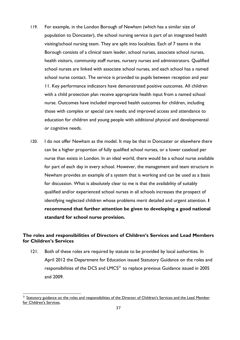- 119. For example, in the London Borough of Newham (which has a similar size of population to Doncaster), the school nursing service is part of an integrated health visiting/school nursing team. They are split into localities. Each of 7 teams in the Borough consists of a clinical team leader, school nurses, associate school nurses, health visitors, community staff nurses, nursery nurses and administrators. Qualified school nurses are linked with associate school nurses, and each school has a named school nurse contact. The service is provided to pupils between reception and year 11. Key performance indicators have demonstrated positive outcomes. All children with a child protection plan receive appropriate health input from a named school nurse. Outcomes have included improved health outcomes for children, including those with complex or special care needs; and improved access and attendance to education for children and young people with additional physical and developmental or cognitive needs.
- 120. I do not offer Newham as the model. It may be that in Doncaster or elsewhere there can be a higher proportion of fully qualified school nurses, or a lower caseload per nurse than exists in London. In an ideal world, there would be a school nurse available for part of each day in every school. However, the management and team structure in Newham provides an example of a system that is working and can be used as a basis for discussion. What is absolutely clear to me is that the availability of suitably qualified and/or experienced school nurses in all schools increases the prospect of identifying neglected children whose problems merit detailed and urgent attention. **I recommend that further attention be given to developing a good national standard for school nurse provision.**

#### <span id="page-36-0"></span> **The roles and responsibilities of Directors of Children's Services and Lead Members for Children's Services**

121. Both of these roles are required by statute to be provided by local authorities. In April 2012 the Department for Education issued Statutory Guidance on the roles and responsibilities of the DCS and  $LMCS<sup>21</sup>$  to replace previous Guidance issued in 2005 and 2009.

<sup>&</sup>lt;sup>21</sup> Statutory guidance on the roles and responsibilities of the Director of Children's Services and the Lead Member [for Children's Services.](https://www.education.gov.uk/publications/standard/publicationDetail/Page1/DFE-00034-2012)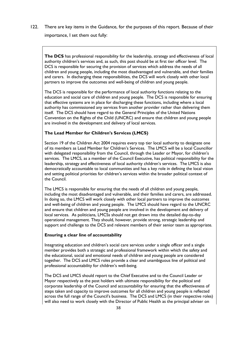122. There are key items in the Guidance, for the purposes of this report. Because of their importance, I set them out fully:

 **The DCS** has professional responsibility for the leadership, strategy and effectiveness of local authority children's services and, as such, this post should be at first tier officer level. The DCS is responsible for securing the provision of services which address the needs of all children and young people, including the most disadvantaged and vulnerable, and their families and carers. In discharging these responsibilities, the DCS will work closely with other local partners to improve the outcomes and well-being of children and young people.

 The DCS is responsible for the performance of local authority functions relating to the education and social care of children and young people. The DCS is responsible for ensuring that effective systems are in place for discharging these functions, including where a local authority has commissioned any services from another provider rather than delivering them itself. The DCS should have regard to the General Principles of the United Nations Convention on the Rights of the Child (UNCRC) and ensure that children and young people are involved in the development and delivery of local services.

#### **The Lead Member for Children's Services (LMCS)**

 Section 19 of the Children Act 2004 requires every top tier local authority to designate one of its members as Lead Member for Children's Services. The LMCS will be a local Councillor with delegated responsibility from the Council, through the Leader or Mayor, for children's services. The LMCS, as a member of the Council Executive, has political responsibility for the leadership, strategy and effectiveness of local authority children's services. The LMCS is also democratically accountable to local communities and has a key role in defining the local vision and setting political priorities for children's services within the broader political context of the Council.

 The LMCS is responsible for ensuring that the needs of all children and young people, including the most disadvantaged and vulnerable, and their families and carers, are addressed. In doing so, the LMCS will work closely with other local partners to improve the outcomes and well-being of children and young people. The LMCS should have regard to the UNCRC and ensure that children and young people are involved in the development and delivery of local services. As politicians, LMCSs should not get drawn into the detailed day-to-day operational management. They should, however, provide strong, strategic leadership and support and challenge to the DCS and relevant members of their senior team as appropriate.

#### **Ensuring a clear line of accountability**

 Integrating education and children's social care services under a single officer and a single member provides both a strategic and professional framework within which the safety and the educational, social and emotional needs of children and young people are considered together. The DCS and LMCS roles provide a clear and unambiguous line of political and professional accountability for children's well-being.

 The DCS and LMCS should report to the Chief Executive and to the Council Leader or Mayor respectively as the post holders with ultimate responsibility for the political and corporate leadership of the Council and accountability for ensuring that the effectiveness of steps taken and capacity to improve outcomes for all children and young people is reflected across the full range of the Council's business. The DCS and LMCS (in their respective roles) will also need to work closely with the Director of Public Health as the principal adviser on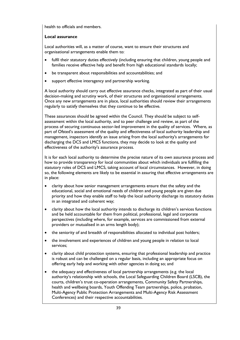health to officials and members.

#### **Local assurance**

 Local authorities will, as a matter of course, want to ensure their structures and organisational arrangements enable them to:

- fulfil their statutory duties effectively (including ensuring that children, young people and families receive effective help and benefit from high educational standards locally;
- be transparent about responsibilities and accountabilities; and
- support effective interagency and partnership working.

 A local authority should carry out effective assurance checks, integrated as part of their usual decision-making and scrutiny work, of their structures and organisational arrangements. Once any new arrangements are in place, local authorities should review their arrangements regularly to satisfy themselves that they continue to be effective.

 These assurances should be agreed within the Council. They should be subject to self- assessment within the local authority, and to peer challenge and review, as part of the process of securing continuous sector-led improvement in the quality of services. Where, as part of Ofsted's assessment of the quality and effectiveness of local authority leadership and management, inspectors identify an issue arising from the local authority's arrangements for discharging the DCS and LMCS functions, they may decide to look at the quality and effectiveness of the authority's assurance process.

 It is for each local authority to determine the precise nature of its own assurance process and how to provide transparency for local communities about which individuals are fulfilling the statutory roles of DCS and LMCS, taking account of local circumstances. However, in doing so, the following elements are likely to be essential in assuring that effective arrangements are in place:

- clarity about how senior management arrangements ensure that the safety and the educational, social and emotional needs of children and young people are given due priority and how they enable staff to help the local authority discharge its statutory duties in an integrated and coherent way;
- clarity about how the local authority intends to discharge its children's services functions and be held accountable for them from political, professional, legal and corporate perspectives (including where, for example, services are commissioned from external providers or mutualised in an arms length body);
- the seniority of and breadth of responsibilities allocated to individual post holders;
- the involvement and experiences of children and young people in relation to local services;
- clarity about child protection systems, ensuring that professional leadership and practice is robust and can be challenged on a regular basis, including an appropriate focus on offering early help and working with other agencies in doing so; and
- the adequacy and effectiveness of local partnership arrangements (e.g. the local courts, children's trust co-operation arrangements, Community Safety Partnerships, health and wellbeing boards, Youth Offending Team partnerships, police, probation, Multi-Agency Public Protection Arrangements and Multi-Agency Risk Assessment Conferences) and their respective accountabilities. authority's relationship with schools, the Local Safeguarding Children Board (LSCB), the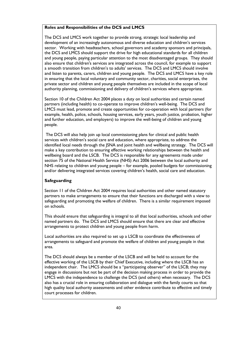#### **Roles and Responsibilities of the DCS and LMCS**

 The DCS and LMCS work together to provide strong, strategic local leadership and development of an increasingly autonomous and diverse education and children's services sector. Working with headteachers, school governors and academy sponsors and principals, the DCS and LMCS should support the drive for high educational standards for all children and young people, paying particular attention to the most disadvantaged groups. They should also ensure that children's services are integrated across the council, for example to support a smooth transition from children's to adults' services. The DCS and LMCS should involve and listen to parents, carers, children and young people. The DCS and LMCS have a key role in ensuring that the local voluntary and community sector, charities, social enterprises, the private sector and children and young people themselves are included in the scope of local authority planning, commissioning and delivery of children's services where appropriate.

 Section 10 of the Children Act 2004 places a duty on local authorities and certain named partners (including health) to co-operate to improve children's well-being. The DCS and LMCS must lead, promote and create opportunities for co-operation with local partners (for example, health, police, schools, housing services, early years, youth justice, probation, higher and further education, and employers) to improve the well-being of children and young people.

 The DCS will also help join up local commissioning plans for clinical and public health services with children's social care and education, where appropriate, to address the identified local needs through the JSNA and joint health and wellbeing strategy. The DCS will make a key contribution to ensuring effective working relationships between the health and wellbeing board and the LSCB. The DCS is responsible for any agreements made under section 75 of the National Health Service (NHS) Act 2006 between the local authority and NHS relating to children and young people – for example, pooled budgets for commissioning and/or delivering integrated services covering children's health, social care and education.

#### **Safeguarding**

 Section 11 of the Children Act 2004 requires local authorities and other named statutory partners to make arrangements to ensure that their functions are discharged with a view to safeguarding and promoting the welfare of children. There is a similar requirement imposed on schools.

 This should ensure that safeguarding is integral to all that local authorities, schools and other named partners do. The DCS and LMCS should ensure that there are clear and effective arrangements to protect children and young people from harm.

 Local authorities are also required to set up a LSCB to coordinate the effectiveness of arrangements to safeguard and promote the welfare of children and young people in that area.

 The DCS should always be a member of the LSCB and will be held to account for the effective working of the LSCB by their Chief Executive, including where the LSCB has an independent chair. The LMCS should be a "participating observer" of the LSCB; they may engage in discussions but not be part of the decision making process in order to provide the LMCS with the independence to challenge the DCS (and others) when necessary. The DCS also has a crucial role in ensuring collaboration and dialogue with the family courts so that high quality local authority assessments and other evidence contribute to effective and timely court processes for children.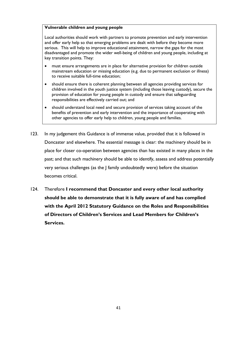#### **Vulnerable children and young people**

 Local authorities should work with partners to promote prevention and early intervention and offer early help so that emerging problems are dealt with before they become more serious. This will help to improve educational attainment, narrow the gaps for the most disadvantaged and promote the wider well-being of children and young people, including at key transition points. They:

- must ensure arrangements are in place for alternative provision for children outside mainstream education or missing education (e.g. due to permanent exclusion or illness) to receive suitable full-time education;
- should ensure there is coherent planning between all agencies providing services for children involved in the youth justice system (including those leaving custody), secure the provision of education for young people in custody and ensure that safeguarding responsibilities are effectively carried out; and
- should understand local need and secure provision of services taking account of the benefits of prevention and early intervention and the importance of cooperating with other agencies to offer early help to children, young people and families.
- 123. In my judgement this Guidance is of immense value, provided that it is followed in Doncaster and elsewhere. The essential message is clear: the machinery should be in place for closer co-operation between agencies than has existed in many places in the past; and that such machinery should be able to identify, assess and address potentially very serious challenges (as the J family undoubtedly were) before the situation becomes critical.
- 124. Therefore **I recommend that Doncaster and every other local authority should be able to demonstrate that it is fully aware of and has complied with the April 2012 Statutory Guidance on the Roles and Responsibilities of Directors of Children's Services and Lead Members for Children's Services.**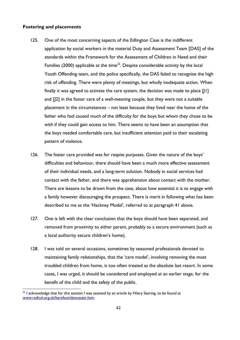#### <span id="page-41-0"></span>**Fostering and placements**

- placement in the circumstances not least because they lived near the home of the 125. One of the most concerning aspects of the Edlington Case is the indifferent application by social workers in the material Duty and Assessment Team [DAS] of the standards within the Framework for the Assessment of Children in Need and their Families (2000) applicable at the time<sup>22</sup>. Despite considerable activity by the local Youth Offending team, and the police specifically, the DAS failed to recognise the high risk of offending. There were plenty of meetings, but wholly inadequate action. When finally it was agreed to activate the care system, the decision was made to place [J1] and [J2] in the foster care of a well-meaning couple, but they were not a suitable father who had caused much of the difficulty for the boys but whom they chose to be with if they could gain access to him. There seems to have been an assumption that the boys needed comfortable care, but insufficient attention paid to their escalating pattern of violence.
- 126. The foster care provided was for respite purposes. Given the nature of the boys' difficulties and behaviour, there should have been a much more effective assessment of their individual needs, and a long-term solution. Nobody in social services had contact with the father, and there was apprehension about contact with the mother. There are lessons to be drawn from the case, about how essential it is to engage with a family however discouraging the prospect. There is merit in following what has been described to me as the 'Hackney Model', referred to at paragraph 41 above.
- 127. One is left with the clear conclusion that the boys should have been separated, and removed from proximity to either parent, probably to a secure environment (such as a local authority secure children's home).
- 128. I was told on several occasions, sometimes by seasoned professionals devoted to maintaining family relationships, that the 'care model', involving removing the most troubled children from home, is too often treated as the absolute last resort. In some cases, I was urged, it should be considered and employed at an earlier stage, for the benefit of the child and the safety of the public.

 $\overline{a}$ 

 $^{22}$  I acknowledge that for this section I was assisted by an article by Hilary Searing, to be found at [www.radical.org.uk/barefoot/doncaster.htm.](http://www.radical.org.uk/barefoot/doncaster.htm)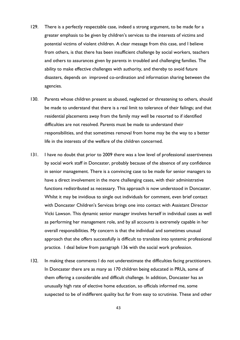- disasters, depends on improved co-ordination and information sharing between the 129. There is a perfectly respectable case, indeed a strong argument, to be made for a greater emphasis to be given by children's services to the interests of victims and potential victims of violent children. A clear message from this case, and I believe from others, is that there has been insufficient challenge by social workers, teachers and others to assurances given by parents in troubled and challenging families. The ability to make effective challenges with authority, and thereby to avoid future agencies.
- 130. Parents whose children present as abused, neglected or threatening to others, should be made to understand that there is a real limit to tolerance of their failings; and that residential placements away from the family may well be resorted to if identified difficulties are not resolved. Parents must be made to understand their responsibilities, and that sometimes removal from home may be the way to a better life in the interests of the welfare of the children concerned.
- 131. I have no doubt that prior to 2009 there was a low level of professional assertiveness by social work staff in Doncaster, probably because of the absence of any confidence in senior management. There is a convincing case to be made for senior managers to have a direct involvement in the more challenging cases, with their administrative functions redistributed as necessary. This approach is now understood in Doncaster. Whilst it may be invidious to single out individuals for comment, even brief contact with Doncaster Children's Services brings one into contact with Assistant Director Vicki Lawson. This dynamic senior manager involves herself in individual cases as well as performing her management role, and by all accounts is extremely capable in her overall responsibilities. My concern is that the individual and sometimes unusual approach that she offers successfully is difficult to translate into systemic professional practice. I deal below from paragraph 136 with the social work profession.
- 132. In making these comments I do not underestimate the difficulties facing practitioners. In Doncaster there are as many as 170 children being educated in PRUs, some of them offering a considerable and difficult challenge. In addition, Doncaster has an unusually high rate of elective home education, so officials informed me, some suspected to be of indifferent quality but far from easy to scrutinise. These and other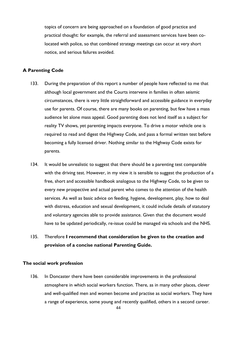topics of concern are being approached on a foundation of good practice and practical thought: for example, the referral and assessment services have been colocated with police, so that combined strategy meetings can occur at very short notice, and serious failures avoided.

#### <span id="page-43-0"></span>**A Parenting Code**

- 133. During the preparation of this report a number of people have reflected to me that although local government and the Courts intervene in families in often seismic circumstances, there is very little straightforward and accessible guidance in everyday use for parents. Of course, there are many books on parenting, but few have a mass audience let alone mass appeal. Good parenting does not lend itself as a subject for reality TV shows, yet parenting impacts everyone. To drive a motor vehicle one is required to read and digest the Highway Code, and pass a formal written test before becoming a fully licensed driver. Nothing similar to the Highway Code exists for parents.
- 134. It would be unrealistic to suggest that there should be a parenting test comparable with the driving test. However, in my view it is sensible to suggest the production of a free, short and accessible handbook analogous to the Highway Code, to be given to every new prospective and actual parent who comes to the attention of the health services. As well as basic advice on feeding, hygiene, development, play, how to deal with distress, education and sexual development, it could include details of statutory and voluntary agencies able to provide assistance. Given that the document would have to be updated periodically, re-issue could be managed via schools and the NHS.

# 135. Therefore I recommend that consideration be given to the creation and **provision of a concise national Parenting Guide.**

#### <span id="page-43-1"></span>**The social work profession**

136. In Doncaster there have been considerable improvements in the professional atmosphere in which social workers function. There, as in many other places, clever and well-qualified men and women become and practise as social workers. They have a range of experience, some young and recently qualified, others in a second career.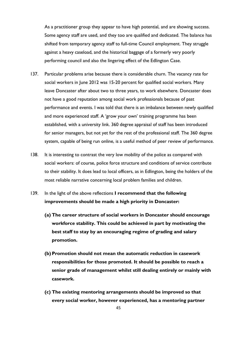As a practitioner group they appear to have high potential, and are showing success. Some agency staff are used, and they too are qualified and dedicated. The balance has shifted from temporary agency staff to full-time Council employment. They struggle against a heavy caseload, and the historical baggage of a formerly very poorly performing council and also the lingering effect of the Edlington Case.

- 137. Particular problems arise because there is considerable churn. The vacancy rate for social workers in June 2012 was 15-20 percent for qualified social workers. Many leave Doncaster after about two to three years, to work elsewhere. Doncaster does not have a good reputation among social work professionals because of past performance and events. I was told that there is an imbalance between newly qualified and more experienced staff. A 'grow your own' training programme has been established, with a university link. 360 degree appraisal of staff has been introduced for senior managers, but not yet for the rest of the professional staff. The 360 degree system, capable of being run online, is a useful method of peer review of performance.
- 138. It is interesting to contrast the very low mobility of the police as compared with social workers: of course, police force structure and conditions of service contribute to their stability. It does lead to local officers, as in Edlington, being the holders of the most reliable narrative concerning local problem families and children.
- 139. In the light of the above reflections **I recommend that the following improvements should be made a high priority in Doncaster:** 
	- **(a) The career structure of social workers in Doncaster should encourage workforce stability. This could be achieved in part by motivating the best staff to stay by an encouraging regime of grading and salary promotion.**
	- **(b) Promotion should not mean the automatic reduction in casework responsibilities for those promoted. It should be possible to reach a senior grade of management whilst still dealing entirely or mainly with casework.**
	- **(c) The existing mentoring arrangements should be improved so that every social worker, however experienced, has a mentoring partner**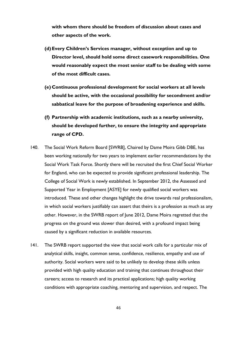**with whom there should be freedom of discussion about cases and other aspects of the work.** 

- **(d) Every Children's Services manager, without exception and up to Director level, should hold some direct casework responsibilities. One would reasonably expect the most senior staff to be dealing with some of the most difficult cases.**
- **(e) Continuous professional development for social workers at all levels should be active, with the occasional possibility for secondment and/or sabbatical leave for the purpose of broadening experience and skills.**
- **(f) Partnership with academic institutions, such as a nearby university, should be developed further, to ensure the integrity and appropriate range of CPD.**
- for England, who can be expected to provide significant professional leadership. The Supported Year in Employment [ASYE] for newly qualified social workers was 140. The Social Work Reform Board [SWRB], Chaired by Dame Moira Gibb DBE, has been working nationally for two years to implement earlier recommendations by the Social Work Task Force. Shortly there will be recruited the first Chief Social Worker College of Social Work is newly established. In September 2012, the Assessed and introduced. These and other changes highlight the drive towards real professionalism, in which social workers justifiably can assert that theirs is a profession as much as any other. However, in the SWRB report of June 2012, Dame Moira regretted that the progress on the ground was slower than desired, with a profound impact being caused by a significant reduction in available resources.
- 141. The SWRB report supported the view that social work calls for a particular mix of analytical skills, insight, common sense, confidence, resilience, empathy and use of authority. Social workers were said to be unlikely to develop these skills unless provided with high quality education and training that continues throughout their careers; access to research and its practical applications; high quality working conditions with appropriate coaching, mentoring and supervision, and respect. The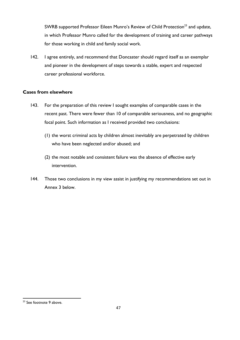SWRB supported Professor Eileen Munro's Review of Child Protection<sup>23</sup> and update, in which Professor Munro called for the development of training and career pathways for those working in child and family social work.

142. I agree entirely, and recommend that Doncaster should regard itself as an exemplar and pioneer in the development of steps towards a stable, expert and respected career professional workforce.

#### <span id="page-46-0"></span>**Cases from elsewhere**

- focal point. Such information as I received provided two conclusions: 143. For the preparation of this review I sought examples of comparable cases in the recent past. There were fewer than 10 of comparable seriousness, and no geographic
	- $f(t)$  the worst criminal acts by children almost inevitably are perpetrated by children who have been neglected and/or abused; and
	- (2) the most notable and consistent failure was the absence of effective early intervention.
- 144. Those two conclusions in my view assist in justifying my recommendations set out in Annex 3 below.

<sup>1</sup> <sup>23</sup> See footnote 9 above.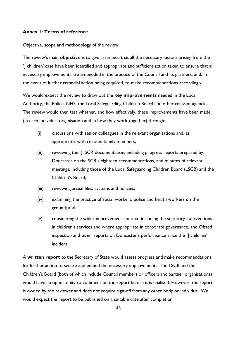#### <span id="page-47-0"></span>**Annex 1: Terms of reference**

#### Objective, scope and methodology of the review

 the event of further remedial action being required, to make recommendations accordingly. We would expect the review to draw out the **key improvements** needed in the Local The review's main **objective** is to give assurance that all the necessary lessons arising from the `J children' case have been identified and appropriate and sufficient action taken to ensure that all necessary improvements are embedded in the practice of the Council and its partners; and, in

Authority, the Police, NHS, the Local Safeguarding Children Board and other relevant agencies. The review would then test whether, and how effectively, these improvements have been made (in each individual organisation and in how they work together) through:

- (i) discussions with senior colleagues in the relevant organisations and, as appropriate, with relevant family members;
- (ii) reviewing the `J' SCR documentation, including progress reports prepared by Doncaster on the SCR's eighteen recommendations, and minutes of relevant meetings, including those of the Local Safeguarding Children Board (LSCB) and the Children's Board;
- (iii) reviewing actual files, systems and policies;
- (iv) examining the practice of social workers, police and health workers on the ground; and
- $(v)$  considering the wider improvement context, including the statutory interventions in children's services and where appropriate in corporate governance, and Ofsted inspection and other reports on Doncaster's performance since the `J children' incident.

 would expect the report to be published on a suitable date after completion. A **written report** to the Secretary of State would assess progress and make recommendations for further action to secure and embed the necessary improvements. The LSCB and the Children's Board (both of which include Council members or officers and partner organisations) would have an opportunity to comment on the report before it is finalised. However, the report is owned by the reviewer and does not require sign-off from any other body or individual. We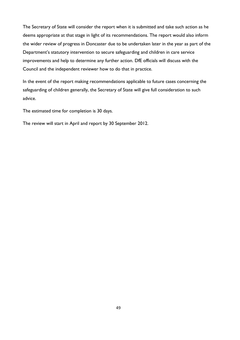The Secretary of State will consider the report when it is submitted and take such action as he deems appropriate at that stage in light of its recommendations. The report would also inform the wider review of progress in Doncaster due to be undertaken later in the year as part of the Department's statutory intervention to secure safeguarding and children in care service improvements and help to determine any further action. DfE officials will discuss with the Council and the independent reviewer how to do that in practice.

In the event of the report making recommendations applicable to future cases concerning the safeguarding of children generally, the Secretary of State will give full consideration to such advice.

The estimated time for completion is 30 days.

The review will start in April and report by 30 September 2012.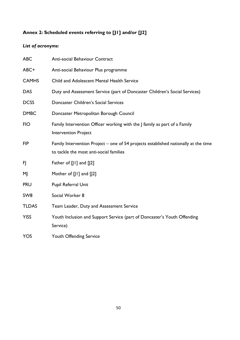# <span id="page-49-0"></span>**Annex 2: Scheduled events referring to [J1] and/or [J2]**

# *List of acronyms:*

| <b>ABC</b>      | Anti-social Behaviour Contract                                                                                                 |
|-----------------|--------------------------------------------------------------------------------------------------------------------------------|
| ABC+            | Anti-social Behaviour Plus programme                                                                                           |
| <b>CAMHS</b>    | Child and Adolescent Mental Health Service                                                                                     |
| <b>DAS</b>      | Duty and Assessment Service (part of Doncaster Children's Social Services)                                                     |
| <b>DCSS</b>     | Doncaster Children's Social Services                                                                                           |
| <b>DMBC</b>     | Doncaster Metropolitan Borough Council                                                                                         |
| <b>FIO</b>      | Family Intervention Officer working with the J family as part of a Family<br><b>Intervention Project</b>                       |
| <b>FIP</b>      | Family Intervention Project – one of 54 projects established nationally at the time<br>to tackle the most anti-social families |
| FJ              | Father of $[]$ and $[]$ 2]                                                                                                     |
| ΜJ              | Mother of [JI] and [J2]                                                                                                        |
| <b>PRU</b>      | Pupil Referral Unit                                                                                                            |
| SW <sub>8</sub> | Social Worker 8                                                                                                                |
| <b>TLDAS</b>    | Team Leader, Duty and Assessment Service                                                                                       |
| <b>YISS</b>     | Youth Inclusion and Support Service (part of Doncaster's Youth Offending<br>Service)                                           |
| <b>YOS</b>      | Youth Offending Service                                                                                                        |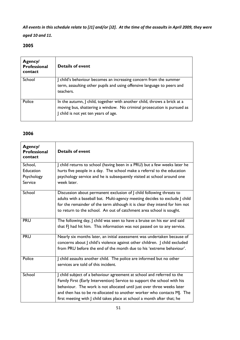*All events in this schedule relate to [J1] and/or [J2]. At the time of the assaults in April 2009, they were aged 10 and 11.* 

## **2005**

| <b>Agency/</b><br><b>Professional</b><br>contact | <b>Details of event</b>                                                                                                                                                                    |
|--------------------------------------------------|--------------------------------------------------------------------------------------------------------------------------------------------------------------------------------------------|
| School                                           | J child's behaviour becomes an increasing concern from the summer<br>term, assaulting other pupils and using offensive language to peers and<br>teachers.                                  |
| Police                                           | In the autumn, J child, together with another child, throws a brick at a<br>moving bus, shattering a window. No criminal prosecution is pursued as<br>J child is not yet ten years of age. |

| Agency/<br><b>Professional</b><br>contact | <b>Details of event</b>                                                     |
|-------------------------------------------|-----------------------------------------------------------------------------|
| School,                                   | J child returns to school (having been in a PRU) but a few weeks later he   |
| <b>Education</b>                          | hurts five people in a day. The school make a referral to the education     |
| Psychology                                | psychology service and he is subsequently visited at school around one      |
| Service                                   | week later.                                                                 |
| School                                    | Discussion about permanent exclusion of J child following threats to        |
|                                           | adults with a baseball bat. Multi-agency meeting decides to exclude J child |
|                                           | for the remainder of the term although it is clear they intend for him not  |
|                                           | to return to the school. An out of catchment area school is sought.         |
| <b>PRU</b>                                | The following day, J child was seen to have a bruise on his ear and said    |
|                                           | that FJ had hit him. This information was not passed on to any service.     |
| <b>PRU</b>                                | Nearly six months later, an initial assessment was undertaken because of    |
|                                           | concerns about J child's violence against other children. J child excluded  |
|                                           | from PRU before the end of the month due to his 'extreme behaviour'.        |
| Police                                    | J child assaults another child. The police are informed but no other        |
|                                           | services are told of this incident.                                         |
| School                                    | J child subject of a behaviour agreement at school and referred to the      |
|                                           | Family First (Early Intervention) Service to support the school with his    |
|                                           | behaviour. The work is not allocated until just over three weeks later      |
|                                           | and then has to be re-allocated to another worker who contacts MJ. The      |
|                                           | first meeting with J child takes place at school a month after that; he     |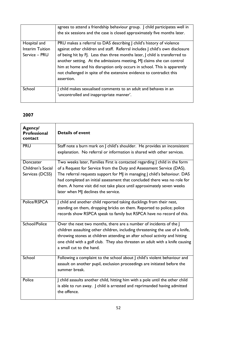|                        | agrees to attend a friendship behaviour group. J child participates well in<br>the six sessions and the case is closed approximately five months later.                                                                                                                                                                |
|------------------------|------------------------------------------------------------------------------------------------------------------------------------------------------------------------------------------------------------------------------------------------------------------------------------------------------------------------|
| Hospital and           | PRU makes a referral to DAS describing J child's history of violence                                                                                                                                                                                                                                                   |
| <b>Interim Tuition</b> | against other children and staff. Referral includes J child's own disclosure                                                                                                                                                                                                                                           |
| Service – PRU          | of being hit by FJ. Less than three months later, J child is transferred to<br>another setting. At the admissions meeting, MJ claims she can control<br>him at home and his disruption only occurs in school. This is apparently<br>not challenged in spite of the extensive evidence to contradict this<br>assertion. |
| School                 | J child makes sexualised comments to an adult and behaves in an                                                                                                                                                                                                                                                        |
|                        | 'uncontrolled and inappropriate manner'.                                                                                                                                                                                                                                                                               |

| Agency/<br><b>Professional</b><br>contact         | <b>Details of event</b>                                                                                                                                                                                                                                                                                                                                                                                                     |
|---------------------------------------------------|-----------------------------------------------------------------------------------------------------------------------------------------------------------------------------------------------------------------------------------------------------------------------------------------------------------------------------------------------------------------------------------------------------------------------------|
| <b>PRU</b>                                        | Staff note a burn mark on J child's shoulder. He provides an inconsistent<br>explanation. No referral or information is shared with other services.                                                                                                                                                                                                                                                                         |
| Doncaster<br>Children's Social<br>Services (DCSS) | Two weeks later, Families First is contacted regarding J child in the form<br>of a Request for Service from the Duty and Assessment Service (DAS).<br>The referral requests support for MJ in managing J child's behaviour. DAS<br>had completed an initial assessment that concluded there was no role for<br>them. A home visit did not take place until approximately seven weeks<br>later when MJ declines the service. |
| Police/RSPCA                                      | J child and another child reported taking ducklings from their nest,<br>standing on them, dropping bricks on them. Reported to police; police<br>records show RSPCA speak to family but RSPCA have no record of this.                                                                                                                                                                                                       |
| School/Police                                     | Over the next two months, there are a number of incidents of the J<br>children assaulting other children, including threatening the use of a knife,<br>throwing stones at children attending an after school activity and hitting<br>one child with a golf club. They also threaten an adult with a knife causing<br>a small cut to the hand.                                                                               |
| School                                            | Following a complaint to the school about J child's violent behaviour and<br>assault on another pupil, exclusion proceedings are initiated before the<br>summer break.                                                                                                                                                                                                                                                      |
| Police                                            | J child assaults another child, hitting him with a pole until the other child<br>is able to run away. J child is arrested and reprimanded having admitted<br>the offence.                                                                                                                                                                                                                                                   |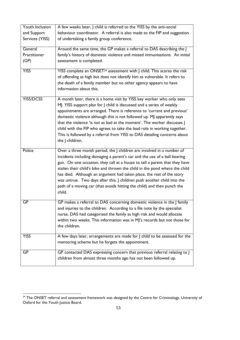| Youth Inclusion  | A few weeks later, I child is referred to the YISS by the anti-social              |
|------------------|------------------------------------------------------------------------------------|
| and Support      | behaviour coordinator. A referral is also made to the FIP and suggestion           |
| Services (YISS)  | of undertaking a family group conference.                                          |
|                  |                                                                                    |
| General          | Around the same time, the GP makes a referral to DAS describing the J              |
| Practitioner     | family's history of domestic violence and missed immunisations. An initial         |
| (GP)             | assessment is completed.                                                           |
|                  |                                                                                    |
| <b>YISS</b>      | YISS complete an ONSET <sup>24</sup> assessment with   child. This scores the risk |
|                  | of offending as high but does not identify him as vulnerable. It refers to         |
|                  | the death of a family member but no other agency appears to have                   |
|                  | information about this.                                                            |
|                  |                                                                                    |
| <b>YISS/DCSS</b> | A month later, there is a home visit by YISS key worker who only sees              |
|                  | MJ. YISS support plan for J child is discussed and a series of weekly              |
|                  | appointments are arranged. There is reference to 'current and previous'            |
|                  | domestic violence although this is not followed up. MJ apparently says             |
|                  | that the violence 'is not as bad at the moment'. The worker discusses J            |
|                  | child with the FIP who agrees to take the lead role in working together.           |
|                  | This is followed by a referral from YISS to DAS detailing concerns about           |
|                  | the   children.                                                                    |
|                  |                                                                                    |
|                  |                                                                                    |
| Police           | Over a three month period, the J children are involved in a number of              |
|                  |                                                                                    |
|                  | incidents including damaging a parent's car and the use of a ball bearing          |
|                  | gun. On one occasion, they call at a house to tell a parent that they have         |
|                  | stolen their child's bike and thrown the child in the pond where the child         |
|                  | has died. Although an argument had taken place, the rest of the story              |
|                  | was untrue. Two days after this, J children push another child into the            |
|                  | path of a moving car (that avoids hitting the child) and then punch the            |
|                  | child.                                                                             |
| GP               |                                                                                    |
|                  | GP makes a referral to DAS concerning domestic violence in the J family            |
|                  | and injuries to the children. According to a file note by the specialist           |
|                  | nurse, DAS had categorised the family as high risk and would allocate              |
|                  | within two weeks. This information was in MJ's records but not those for           |
|                  | the children.                                                                      |
| <b>YISS</b>      | A few days later, arrangements are made for J child to be assessed for the         |
|                  | mentoring scheme but he forgets the appointment.                                   |
|                  |                                                                                    |
| GP               | GP contacted DAS expressing concern that previous referral relating to J           |
|                  | children from almost three months ago has not been followed up.                    |

<sup>1</sup> <sup>24</sup> The ONSET referral and assessment framework was designed by the Centre for Criminology, University of Oxford for the Youth Justice Board.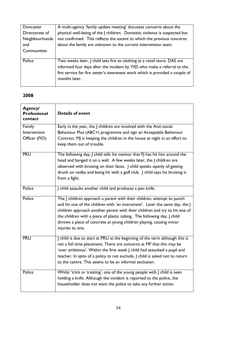| Doncaster      | A multi-agency 'family update meeting' discusses concerns about the         |
|----------------|-----------------------------------------------------------------------------|
| Directorate of | physical well-being of the J children. Domestic violence is suspected but   |
| Neighbourhoods | not confirmed. This reflects the extent to which the previous concerns      |
| and            | about the family are unknown to the current intervention team.              |
| Communities    |                                                                             |
|                |                                                                             |
| Police         | Two weeks later, J child sets fire to clothing at a retail store. DAS are   |
|                | informed four days after the incident by YISS who make a referral to the    |
|                | fire service for fire setter's awareness work which is provided a couple of |
|                | months later.                                                               |
|                |                                                                             |

| Agency/<br><b>Professional</b><br><b>contact</b> | <b>Details of event</b>                                                                                                                                                                                                                                                                                                                                                                                   |
|--------------------------------------------------|-----------------------------------------------------------------------------------------------------------------------------------------------------------------------------------------------------------------------------------------------------------------------------------------------------------------------------------------------------------------------------------------------------------|
| Family                                           | Early in the year, the J children are involved with the Anti-social                                                                                                                                                                                                                                                                                                                                       |
| Intervention                                     | Behaviour Plus (ABC+) programme and sign an Acceptable Behaviour                                                                                                                                                                                                                                                                                                                                          |
| Officer (FIO)                                    | Contract. MJ is keeping the children in the house at night in an effort to<br>keep them out of trouble.                                                                                                                                                                                                                                                                                                   |
| <b>PRU</b>                                       | The following day, J child tells his mentor that FJ has hit him around the<br>head and banged it on a wall. A few weeks later, the J children are<br>observed with bruising on their faces. J child speaks openly of getting<br>drunk on vodka and being hit with a golf club. J child says his bruising is                                                                                               |
| <b>Police</b>                                    | from a fight.<br>J child assaults another child and produces a pen knife.                                                                                                                                                                                                                                                                                                                                 |
|                                                  |                                                                                                                                                                                                                                                                                                                                                                                                           |
| Police                                           | The J children approach a parent with their children, attempt to punch<br>and hit one of the children with 'an instrument'. Later the same day, the J<br>children approach another parent with their children and try to hit one of<br>the children with a piece of plastic tubing. The following day, J child<br>throws a piece of concrete at young children playing, causing minor<br>injuries to one. |
| <b>PRU</b>                                       | J child is due to start at PRU at the beginning of the term although this is<br>not a full time placement. There are concerns at FIP that this may be<br>'over ambitious'. Within the first week J child had assaulted a pupil and<br>teacher. In spite of a policy to not exclude, J child is asked not to return<br>to the centre. This seems to be an informal exclusion.                              |
| <b>Police</b>                                    | Whilst 'trick or treating', one of the young people with J child is seen<br>holding a knife. Although the incident is reported to the police, the<br>householder does not want the police to take any further action.                                                                                                                                                                                     |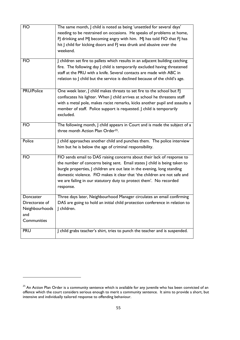| <b>FIO</b>                                                          | The same month, J child is noted as being 'unsettled for several days'<br>needing to be restrained on occasions. He speaks of problems at home,<br>FJ drinking and MJ becoming angry with him. MJ has told FIO that FJ has<br>hit J child for kicking doors and FJ was drunk and abusive over the<br>weekend.                                                                                    |
|---------------------------------------------------------------------|--------------------------------------------------------------------------------------------------------------------------------------------------------------------------------------------------------------------------------------------------------------------------------------------------------------------------------------------------------------------------------------------------|
| <b>FIO</b>                                                          | J children set fire to pallets which results in an adjacent building catching<br>fire. The following day J child is temporarily excluded having threatened<br>staff at the PRU with a knife. Several contacts are made with ABC in<br>relation to J child but the service is declined because of the child's age.                                                                                |
| <b>PRU/Police</b>                                                   | One week later, J child makes threats to set fire to the school but FJ<br>confiscates his lighter. When J child arrives at school he threatens staff<br>with a metal pole, makes racist remarks, kicks another pupil and assaults a<br>member of staff. Police support is requested. J child is temporarily<br>excluded.                                                                         |
| <b>FIO</b>                                                          | The following month, J child appears in Court and is made the subject of a<br>three month Action Plan Order <sup>25</sup> .                                                                                                                                                                                                                                                                      |
| Police                                                              | J child approaches another child and punches them. The police interview<br>him but he is below the age of criminal responsibility.                                                                                                                                                                                                                                                               |
| <b>FIO</b>                                                          | FIO sends email to DAS raising concerns about their lack of response to<br>the number of concerns being sent. Email states J child is being taken to<br>burgle properties, J children are out late in the evening, long standing<br>domestic violence. FIO makes it clear that 'the children are not safe and<br>we are failing in our statutory duty to protect them'. No recorded<br>response. |
| Doncaster<br>Directorate of<br>Neighbourhoods<br>and<br>Communities | Three days later, Neighbourhood Manager circulates an email confirming<br>DAS are going to hold an initial child protection conference in relation to<br>  children.                                                                                                                                                                                                                             |
| <b>PRU</b>                                                          | J child grabs teacher's shirt, tries to punch the teacher and is suspended.                                                                                                                                                                                                                                                                                                                      |

**.** 

 $^{25}$  An Action Plan Order is a community sentence which is available for any juvenile who has been convicted of an offence which the court considers serious enough to merit a community sentence. It aims to provide a short, but intensive and individually tailored response to offending behaviour.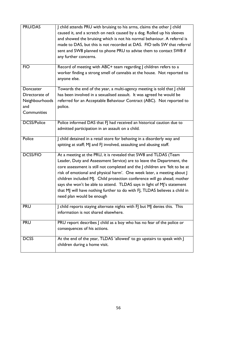| <b>PRU/DAS</b>     | J child attends PRU with bruising to his arms, claims the other J child<br>caused it, and a scratch on neck caused by a dog. Rolled up his sleeves<br>and showed the bruising which is not his normal behaviour. A referral is<br>made to DAS, but this is not recorded at DAS. FIO tells SW that referral<br>sent and SW8 planned to phone PRU to advise them to contact SW8 if<br>any further concerns. |
|--------------------|-----------------------------------------------------------------------------------------------------------------------------------------------------------------------------------------------------------------------------------------------------------------------------------------------------------------------------------------------------------------------------------------------------------|
| $\overline{FO}$    | Record of meeting with ABC+ team regarding J children refers to a                                                                                                                                                                                                                                                                                                                                         |
|                    | worker finding a strong smell of cannabis at the house. Not reported to<br>anyone else.                                                                                                                                                                                                                                                                                                                   |
| Doncaster          | Towards the end of the year, a multi-agency meeting is told that J child                                                                                                                                                                                                                                                                                                                                  |
| Directorate of     | has been involved in a sexualised assault. It was agreed he would be                                                                                                                                                                                                                                                                                                                                      |
| Neighbourhoods     | referred for an Acceptable Behaviour Contract (ABC). Not reported to                                                                                                                                                                                                                                                                                                                                      |
| and                | police.                                                                                                                                                                                                                                                                                                                                                                                                   |
| Communities        |                                                                                                                                                                                                                                                                                                                                                                                                           |
| <b>DCSS/Police</b> | Police informed DAS that FJ had received an historical caution due to                                                                                                                                                                                                                                                                                                                                     |
|                    | admitted participation in an assault on a child.                                                                                                                                                                                                                                                                                                                                                          |
| Police             | J child detained in a retail store for behaving in a disorderly way and<br>spitting at staff; MJ and FJ involved, assaulting and abusing staff.                                                                                                                                                                                                                                                           |
| <b>DCSS/FIO</b>    | At a meeting at the PRU, it is revealed that SW8 and TLDAS (Team                                                                                                                                                                                                                                                                                                                                          |
|                    | Leader, Duty and Assessment Service) are to leave the Department, the                                                                                                                                                                                                                                                                                                                                     |
|                    | core assessment is still not completed and the J children are 'felt to be at                                                                                                                                                                                                                                                                                                                              |
|                    | risk of emotional and physical harm'. One week later, a meeting about J                                                                                                                                                                                                                                                                                                                                   |
|                    | children included MJ. Child protection conference will go ahead; mother                                                                                                                                                                                                                                                                                                                                   |
|                    | says she won't be able to attend. TLDAS says in light of MJ's statement                                                                                                                                                                                                                                                                                                                                   |
|                    | that MJ will have nothing further to do with FJ, TLDAS believes a child in<br>need plan would be enough                                                                                                                                                                                                                                                                                                   |
| <b>PRU</b>         | J child reports staying alternate nights with FJ but MJ denies this. This                                                                                                                                                                                                                                                                                                                                 |
|                    | information is not shared elsewhere.                                                                                                                                                                                                                                                                                                                                                                      |
| <b>PRU</b>         | PRU report describes J child as a boy who has no fear of the police or                                                                                                                                                                                                                                                                                                                                    |
|                    | consequences of his actions.                                                                                                                                                                                                                                                                                                                                                                              |
| <b>DCSS</b>        | At the end of the year, TLDAS 'allowed' to go upstairs to speak with                                                                                                                                                                                                                                                                                                                                      |
|                    | children during a home visit.                                                                                                                                                                                                                                                                                                                                                                             |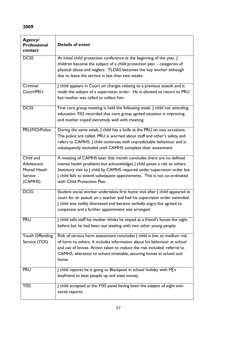| Agency/<br><b>Professional</b><br>contact                            | <b>Details of event</b>                                                                                                                                                                                                                                                                                                               |
|----------------------------------------------------------------------|---------------------------------------------------------------------------------------------------------------------------------------------------------------------------------------------------------------------------------------------------------------------------------------------------------------------------------------|
| <b>DCSS</b>                                                          | At initial child protection conference at the beginning of the year, J<br>children become the subject of a child protection plan – categories of<br>physical abuse and neglect. TLDAS becomes the key worker although<br>due to leave the service in less than two weeks.                                                             |
| Criminal<br>Court/PRU                                                | J child appears in Court on charges relating to a previous assault and is<br>made the subject of a supervision order. He is allowed to return to PRU<br>but mother was called to collect him.                                                                                                                                         |
| <b>DCSS</b>                                                          | First core group meeting is held the following week. J child not attending<br>education. FIO recorded that core group agreed situation is improving<br>and mother coped extremely well with meeting.                                                                                                                                  |
| <b>PRU/FIO/Police</b>                                                | During the same week, J child has a knife at the PRU on two occasions.<br>The police are called. PRU is worried about staff and other's safety and<br>refers to CAMHS. J child continues with unpredictable behaviour and is<br>subsequently excluded until CAMHS complete their assessment.                                          |
| Child and<br>Adolescent<br><b>Mental Heath</b><br>Service<br>(CAMHS) | A meeting of CAMHS later that month concludes there are no defined<br>mental health problems but acknowledges J child poses a risk to others.<br>Statutory visit to J child by CAMHS required under supervision order but<br>J child fails to attend subsequent appointments. This is not co-ordinated<br>with Child Protection Plan. |
| <b>DCSS</b>                                                          | Student social worker undertakes first home visit after J child appeared at<br>court for an assault on a teacher and had his supervision order extended.<br>J child was visibly distressed and became verbally angry but agreed to<br>cooperate and a further appointment was arranged.                                               |
| <b>PRU</b>                                                           | J child tells staff his mother thinks he stayed at a friend's house the night<br>before but he had been out stealing with two other young people.                                                                                                                                                                                     |
| Youth Offending<br>Service (YOS)                                     | Risk of serious harm assessment concludes J child is low to medium risk<br>of harm to others. It includes information about his behaviour at school<br>and use of knives. Action taken to reduce the risk included: referral to<br>CAMHS, alteration to school timetable, securing knives at school and<br>home.                      |
| <b>PRU</b>                                                           | J child reports he is going to Blackpool in school holiday with MJ's<br>boyfriend to beat people up and steal money.                                                                                                                                                                                                                  |
| <b>YISS</b>                                                          | J child accepted at the YISS panel having been the subject of eight anti-<br>social reports.                                                                                                                                                                                                                                          |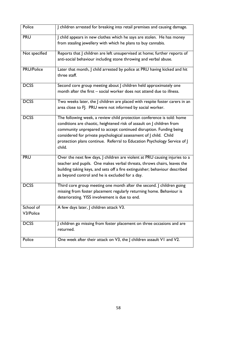| Police            | J children arrested for breaking into retail premises and causing damage.   |
|-------------------|-----------------------------------------------------------------------------|
| <b>PRU</b>        | J child appears in new clothes which he says are stolen. He has money       |
|                   | from stealing jewellery with which he plans to buy cannabis.                |
|                   |                                                                             |
| Not specified     | Reports that J children are left unsupervised at home; further reports of   |
|                   | anti-social behaviour including stone throwing and verbal abuse.            |
|                   |                                                                             |
| <b>PRU/Police</b> | Later that month, I child arrested by police at PRU having kicked and hit   |
|                   | three staff.                                                                |
|                   |                                                                             |
| <b>DCSS</b>       | Second core group meeting about J children held approximately one           |
|                   | month after the first – social worker does not attend due to illness.       |
|                   |                                                                             |
| <b>DCSS</b>       | Two weeks later, the J children are placed with respite foster carers in an |
|                   | area close to FJ. PRU were not informed by social worker.                   |
|                   |                                                                             |
| <b>DCSS</b>       | The following week, a review child protection conference is told: home      |
|                   | conditions are chaotic, heightened risk of assault on J children from       |
|                   | community unprepared to accept continued disruption. Funding being          |
|                   | considered for private psychological assessment of J child. Child           |
|                   |                                                                             |
|                   | protection plans continue. Referral to Education Psychology Service of J    |
|                   | child.                                                                      |
| <b>PRU</b>        | Over the next few days, J children are violent at PRU causing injuries to a |
|                   | teacher and pupils. One makes verbal threats, throws chairs, leaves the     |
|                   | building taking keys, and sets off a fire extinguisher; behaviour described |
|                   |                                                                             |
|                   | as beyond control and he is excluded for a day.                             |
| <b>DCSS</b>       | Third core group meeting one month after the second. J children going       |
|                   | missing from foster placement regularly returning home. Behaviour is        |
|                   | deteriorating. YISS involvement is due to end.                              |
|                   |                                                                             |
| School of         | A few days later, J children attack V3.                                     |
| V3/Police         |                                                                             |
|                   |                                                                             |
| <b>DCSS</b>       | J children go missing from foster placement on three occasions and are      |
|                   | returned.                                                                   |
|                   |                                                                             |
| Police            | One week after their attack on V3, the J children assault VI and V2.        |
|                   |                                                                             |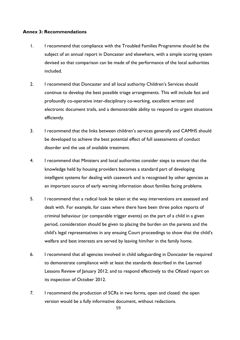#### <span id="page-58-0"></span>**Annex 3: Recommendations**

- 1. I recommend that compliance with the Troubled Families Programme should be the subject of an annual report in Doncaster and elsewhere, with a simple scoring system devised so that comparison can be made of the performance of the local authorities included.
- 2. I recommend that Doncaster and all local authority Children's Services should continue to develop the best possible triage arrangements. This will include fast and profoundly co-operative inter-disciplinary co-working, excellent written and electronic document trails, and a demonstrable ability to respond to urgent situations efficiently.
- 3. I recommend that the links between children's services generally and CAMHS should be developed to achieve the best potential effect of full assessments of conduct disorder and the use of available treatment.
- 4. I recommend that Ministers and local authorities consider steps to ensure that the knowledge held by housing providers becomes a standard part of developing intelligent systems for dealing with casework and is recognised by other agencies as an important source of early warning information about families facing problems.
- 5. I recommend that a radical look be taken at the way interventions are assessed and dealt with. For example, for cases where there have been three police reports of criminal behaviour (or comparable trigger events) on the part of a child in a given period, consideration should be given to placing the burden on the parents and the child's legal representatives in any ensuing Court proceedings to show that the child's welfare and best interests are served by leaving him/her in the family home.
- 6. I recommend that all agencies involved in child safeguarding in Doncaster be required to demonstrate compliance with at least the standards described in the Learned Lessons Review of January 2012; and to respond effectively to the Ofsted report on its inspection of October 2012.
- 7. I recommend the production of SCRs in two forms, open and closed: the open version would be a fully informative document, without redactions.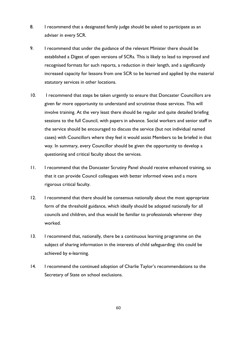- 8. I recommend that a designated family judge should be asked to participate as an adviser in every SCR.
- 9. I recommend that under the guidance of the relevant Minister there should be established a Digest of open versions of SCRs. This is likely to lead to improved and recognised formats for such reports, a reduction in their length, and a significantly increased capacity for lessons from one SCR to be learned and applied by the material statutory services in other locations.
- 10. I recommend that steps be taken urgently to ensure that Doncaster Councillors are given far more opportunity to understand and scrutinise those services. This will involve training. At the very least there should be regular and quite detailed briefing sessions to the full Council, with papers in advance. Social workers and senior staff in the service should be encouraged to discuss the service (but not individual named cases) with Councillors where they feel it would assist Members to be briefed in that way. In summary, every Councillor should be given the opportunity to develop a questioning and critical faculty about the services.
- 11. I recommend that the Doncaster Scrutiny Panel should receive enhanced training, so that it can provide Council colleagues with better informed views and a more rigorous critical faculty.
- 12. I recommend that there should be consensus nationally about the most appropriate form of the threshold guidance, which ideally should be adopted nationally for all councils and children, and thus would be familiar to professionals wherever they worked.
- 13. I recommend that, nationally, there be a continuous learning programme on the subject of sharing information in the interests of child safeguarding: this could be achieved by e-learning.
- 14. I recommend the continued adoption of Charlie Taylor's recommendations to the Secretary of State on school exclusions.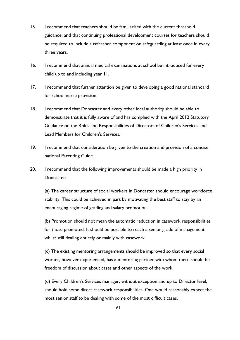- 15. I recommend that teachers should be familiarised with the current threshold guidance; and that continuing professional development courses for teachers should be required to include a refresher component on safeguarding at least once in every three years.
- 16. I recommend that annual medical examinations at school be introduced for every child up to and including year 11.
- 17. I recommend that further attention be given to developing a good national standard for school nurse provision.
- 18. I recommend that Doncaster and every other local authority should be able to demonstrate that it is fully aware of and has complied with the April 2012 Statutory Guidance on the Roles and Responsibilities of Directors of Children's Services and Lead Members for Children's Services.
- 19. I recommend that consideration be given to the creation and provision of a concise national Parenting Guide.
- 20. I recommend that the following improvements should be made a high priority in Doncaster:

 (a) The career structure of social workers in Doncaster should encourage workforce stability. This could be achieved in part by motivating the best staff to stay by an encouraging regime of grading and salary promotion.

(b) Promotion should not mean the automatic reduction in casework responsibilities for those promoted. It should be possible to reach a senior grade of management whilst still dealing entirely or mainly with casework.

(c) The existing mentoring arrangements should be improved so that every social worker, however experienced, has a mentoring partner with whom there should be freedom of discussion about cases and other aspects of the work.

(d) Every Children's Services manager, without exception and up to Director level, should hold some direct casework responsibilities. One would reasonably expect the most senior staff to be dealing with some of the most difficult cases.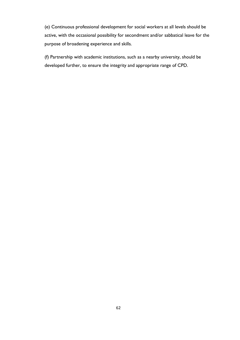(e) Continuous professional development for social workers at all levels should be active, with the occasional possibility for secondment and/or sabbatical leave for the purpose of broadening experience and skills.

(f) Partnership with academic institutions, such as a nearby university, should be developed further, to ensure the integrity and appropriate range of CPD.